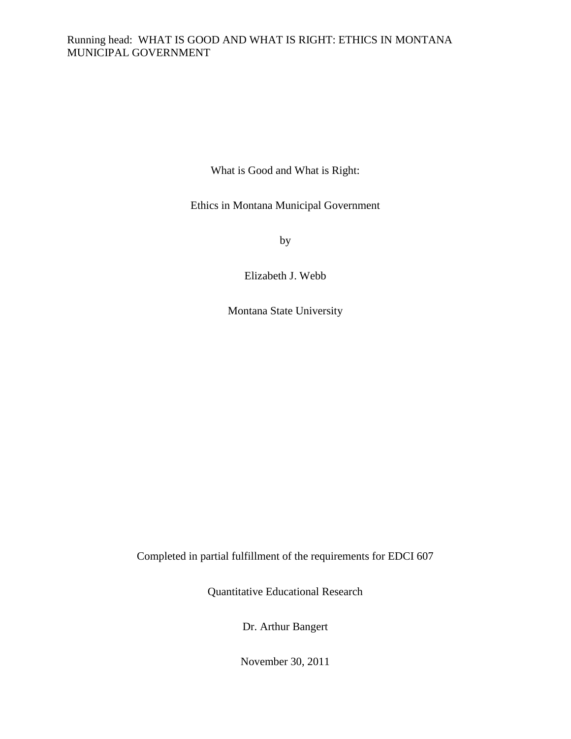# Running head: WHAT IS GOOD AND WHAT IS RIGHT: ETHICS IN MONTANA MUNICIPAL GOVERNMENT

What is Good and What is Right:

Ethics in Montana Municipal Government

by

Elizabeth J. Webb

Montana State University

Completed in partial fulfillment of the requirements for EDCI 607

Quantitative Educational Research

Dr. Arthur Bangert

November 30, 2011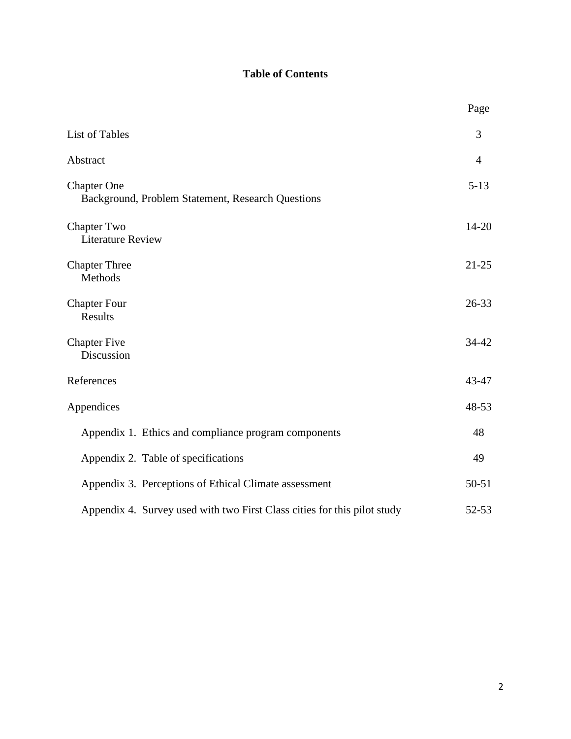# **Table of Contents**

|                                                                          | Page           |
|--------------------------------------------------------------------------|----------------|
| List of Tables                                                           | 3              |
| Abstract                                                                 | $\overline{4}$ |
| <b>Chapter One</b><br>Background, Problem Statement, Research Questions  | $5 - 13$       |
| <b>Chapter Two</b><br><b>Literature Review</b>                           | $14 - 20$      |
| <b>Chapter Three</b><br>Methods                                          | $21 - 25$      |
| <b>Chapter Four</b><br>Results                                           | $26 - 33$      |
| <b>Chapter Five</b><br>Discussion                                        | 34-42          |
| References                                                               | 43-47          |
| Appendices                                                               | 48-53          |
| Appendix 1. Ethics and compliance program components                     | 48             |
| Appendix 2. Table of specifications                                      | 49             |
| Appendix 3. Perceptions of Ethical Climate assessment                    | $50 - 51$      |
| Appendix 4. Survey used with two First Class cities for this pilot study | 52-53          |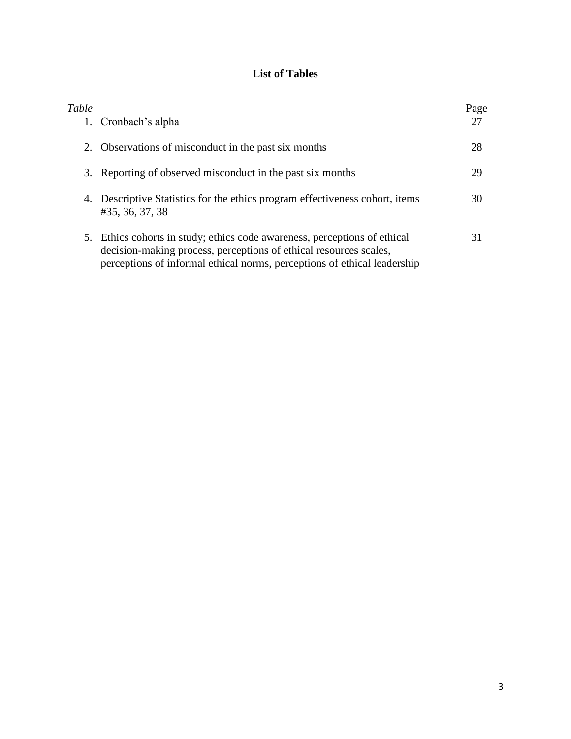# **List of Tables**

| Table<br>1. | Cronbach's alpha                                                                                                                                                                                                           | Page<br>27 |
|-------------|----------------------------------------------------------------------------------------------------------------------------------------------------------------------------------------------------------------------------|------------|
| 2.          | Observations of misconduct in the past six months                                                                                                                                                                          | 28         |
| 3.          | Reporting of observed misconduct in the past six months                                                                                                                                                                    | 29         |
|             | 4. Descriptive Statistics for the ethics program effectiveness cohort, items<br>#35, 36, 37, 38                                                                                                                            | 30         |
|             | 5. Ethics cohorts in study; ethics code awareness, perceptions of ethical<br>decision-making process, perceptions of ethical resources scales,<br>perceptions of informal ethical norms, perceptions of ethical leadership | 31         |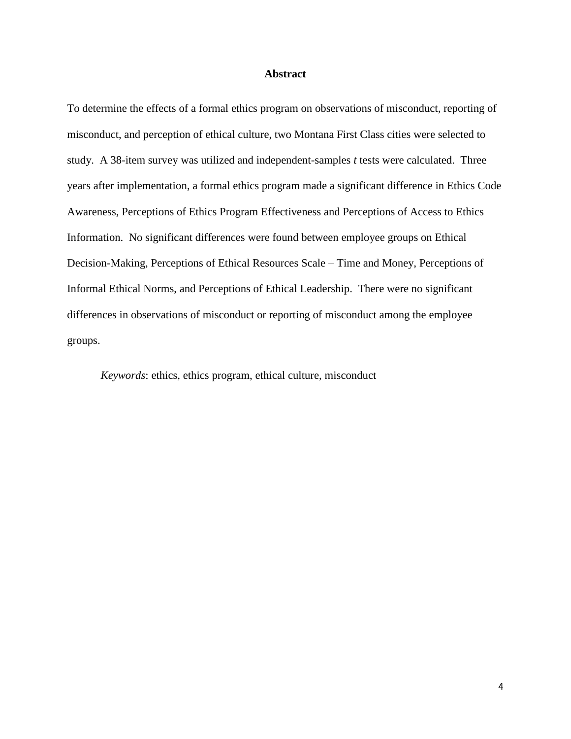# **Abstract**

To determine the effects of a formal ethics program on observations of misconduct, reporting of misconduct, and perception of ethical culture, two Montana First Class cities were selected to study. A 38-item survey was utilized and independent-samples *t* tests were calculated. Three years after implementation, a formal ethics program made a significant difference in Ethics Code Awareness, Perceptions of Ethics Program Effectiveness and Perceptions of Access to Ethics Information. No significant differences were found between employee groups on Ethical Decision-Making, Perceptions of Ethical Resources Scale – Time and Money, Perceptions of Informal Ethical Norms, and Perceptions of Ethical Leadership. There were no significant differences in observations of misconduct or reporting of misconduct among the employee groups.

*Keywords*: ethics, ethics program, ethical culture, misconduct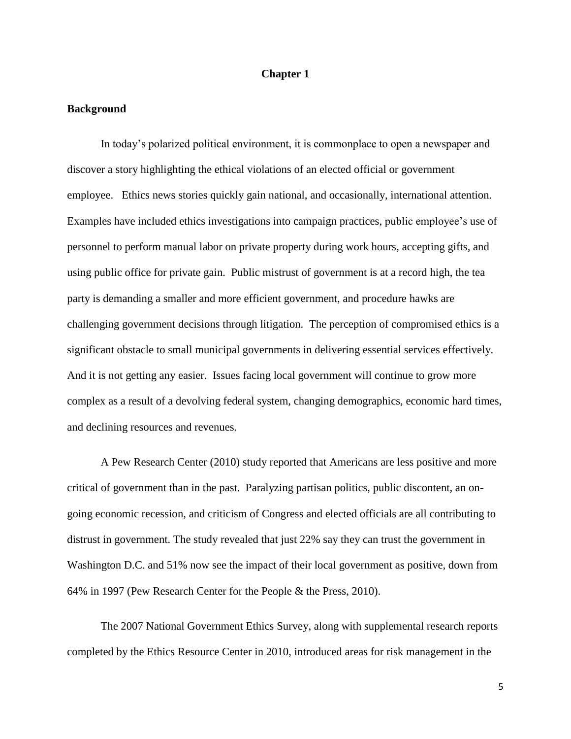# **Chapter 1**

#### **Background**

In today's polarized political environment, it is commonplace to open a newspaper and discover a story highlighting the ethical violations of an elected official or government employee. Ethics news stories quickly gain national, and occasionally, international attention. Examples have included ethics investigations into campaign practices, public employee's use of personnel to perform manual labor on private property during work hours, accepting gifts, and using public office for private gain. Public mistrust of government is at a record high, the tea party is demanding a smaller and more efficient government, and procedure hawks are challenging government decisions through litigation. The perception of compromised ethics is a significant obstacle to small municipal governments in delivering essential services effectively. And it is not getting any easier. Issues facing local government will continue to grow more complex as a result of a devolving federal system, changing demographics, economic hard times, and declining resources and revenues.

A Pew Research Center (2010) study reported that Americans are less positive and more critical of government than in the past. Paralyzing partisan politics, public discontent, an ongoing economic recession, and criticism of Congress and elected officials are all contributing to distrust in government. The study revealed that just 22% say they can trust the government in Washington D.C. and 51% now see the impact of their local government as positive, down from 64% in 1997 (Pew Research Center for the People & the Press, 2010).

The 2007 National Government Ethics Survey, along with supplemental research reports completed by the Ethics Resource Center in 2010, introduced areas for risk management in the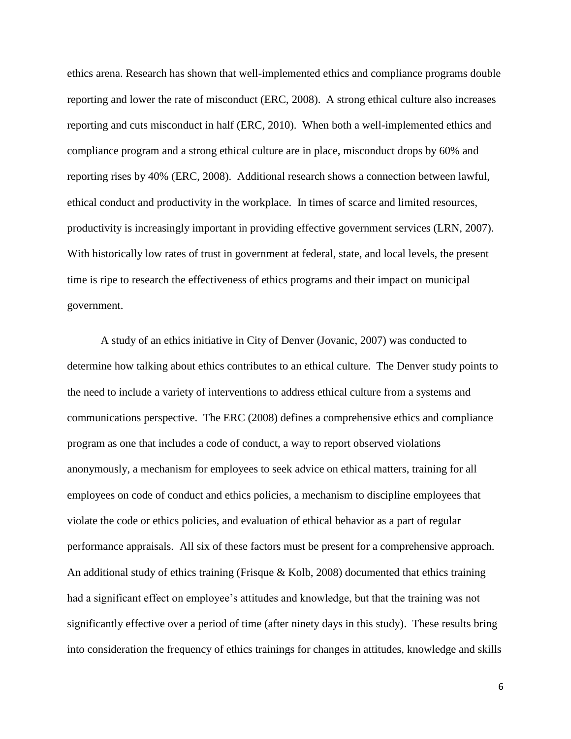ethics arena. Research has shown that well-implemented ethics and compliance programs double reporting and lower the rate of misconduct (ERC, 2008). A strong ethical culture also increases reporting and cuts misconduct in half (ERC, 2010). When both a well-implemented ethics and compliance program and a strong ethical culture are in place, misconduct drops by 60% and reporting rises by 40% (ERC, 2008). Additional research shows a connection between lawful, ethical conduct and productivity in the workplace. In times of scarce and limited resources, productivity is increasingly important in providing effective government services (LRN, 2007). With historically low rates of trust in government at federal, state, and local levels, the present time is ripe to research the effectiveness of ethics programs and their impact on municipal government.

A study of an ethics initiative in City of Denver (Jovanic, 2007) was conducted to determine how talking about ethics contributes to an ethical culture. The Denver study points to the need to include a variety of interventions to address ethical culture from a systems and communications perspective. The ERC (2008) defines a comprehensive ethics and compliance program as one that includes a code of conduct, a way to report observed violations anonymously, a mechanism for employees to seek advice on ethical matters, training for all employees on code of conduct and ethics policies, a mechanism to discipline employees that violate the code or ethics policies, and evaluation of ethical behavior as a part of regular performance appraisals. All six of these factors must be present for a comprehensive approach. An additional study of ethics training (Frisque & Kolb, 2008) documented that ethics training had a significant effect on employee's attitudes and knowledge, but that the training was not significantly effective over a period of time (after ninety days in this study). These results bring into consideration the frequency of ethics trainings for changes in attitudes, knowledge and skills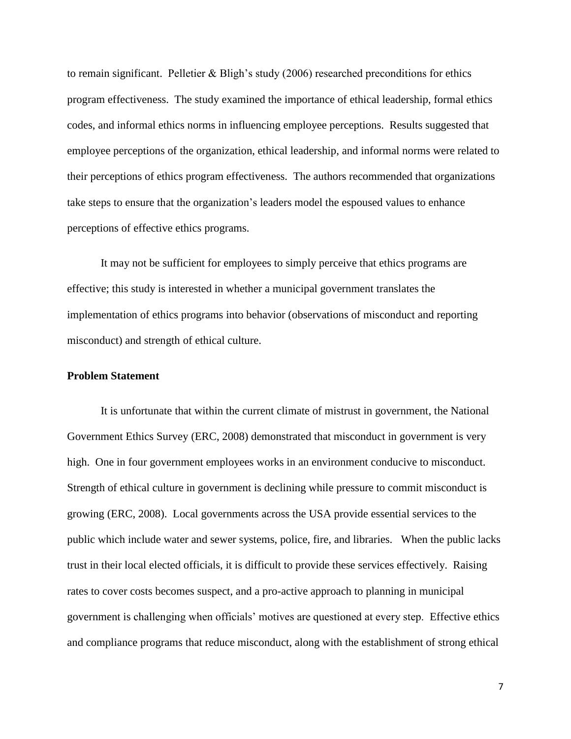to remain significant. Pelletier & Bligh's study (2006) researched preconditions for ethics program effectiveness. The study examined the importance of ethical leadership, formal ethics codes, and informal ethics norms in influencing employee perceptions. Results suggested that employee perceptions of the organization, ethical leadership, and informal norms were related to their perceptions of ethics program effectiveness. The authors recommended that organizations take steps to ensure that the organization's leaders model the espoused values to enhance perceptions of effective ethics programs.

It may not be sufficient for employees to simply perceive that ethics programs are effective; this study is interested in whether a municipal government translates the implementation of ethics programs into behavior (observations of misconduct and reporting misconduct) and strength of ethical culture.

# **Problem Statement**

It is unfortunate that within the current climate of mistrust in government, the National Government Ethics Survey (ERC, 2008) demonstrated that misconduct in government is very high. One in four government employees works in an environment conducive to misconduct. Strength of ethical culture in government is declining while pressure to commit misconduct is growing (ERC, 2008). Local governments across the USA provide essential services to the public which include water and sewer systems, police, fire, and libraries. When the public lacks trust in their local elected officials, it is difficult to provide these services effectively. Raising rates to cover costs becomes suspect, and a pro-active approach to planning in municipal government is challenging when officials' motives are questioned at every step. Effective ethics and compliance programs that reduce misconduct, along with the establishment of strong ethical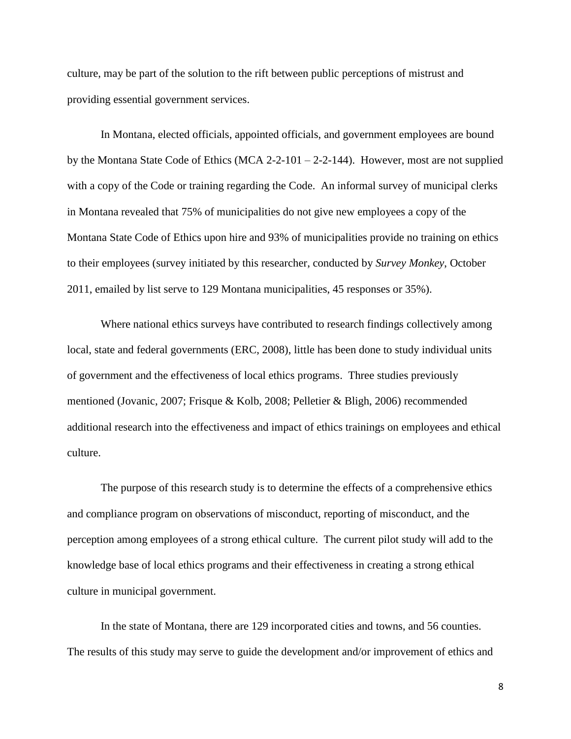culture, may be part of the solution to the rift between public perceptions of mistrust and providing essential government services.

In Montana, elected officials, appointed officials, and government employees are bound by the Montana State Code of Ethics (MCA 2-2-101 – 2-2-144). However, most are not supplied with a copy of the Code or training regarding the Code. An informal survey of municipal clerks in Montana revealed that 75% of municipalities do not give new employees a copy of the Montana State Code of Ethics upon hire and 93% of municipalities provide no training on ethics to their employees (survey initiated by this researcher, conducted by *Survey Monkey*, October 2011, emailed by list serve to 129 Montana municipalities, 45 responses or 35%).

Where national ethics surveys have contributed to research findings collectively among local, state and federal governments (ERC, 2008), little has been done to study individual units of government and the effectiveness of local ethics programs. Three studies previously mentioned (Jovanic, 2007; Frisque & Kolb, 2008; Pelletier & Bligh, 2006) recommended additional research into the effectiveness and impact of ethics trainings on employees and ethical culture.

The purpose of this research study is to determine the effects of a comprehensive ethics and compliance program on observations of misconduct, reporting of misconduct, and the perception among employees of a strong ethical culture. The current pilot study will add to the knowledge base of local ethics programs and their effectiveness in creating a strong ethical culture in municipal government.

In the state of Montana, there are 129 incorporated cities and towns, and 56 counties. The results of this study may serve to guide the development and/or improvement of ethics and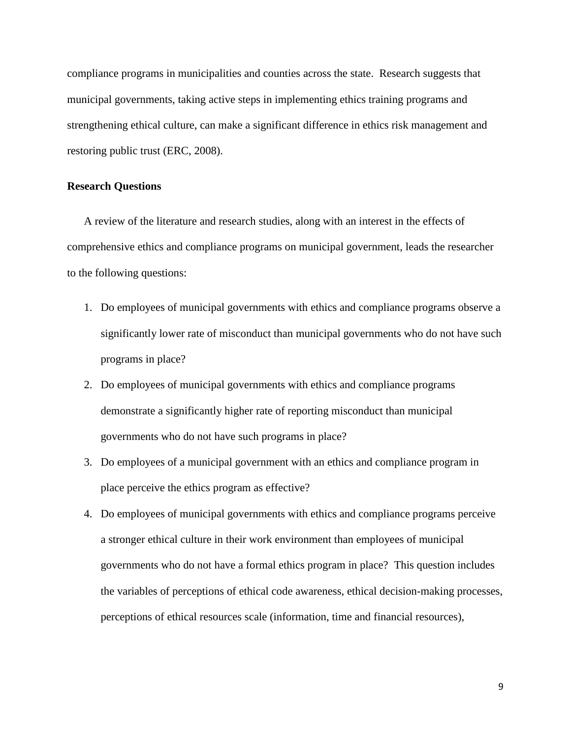compliance programs in municipalities and counties across the state. Research suggests that municipal governments, taking active steps in implementing ethics training programs and strengthening ethical culture, can make a significant difference in ethics risk management and restoring public trust (ERC, 2008).

## **Research Questions**

A review of the literature and research studies, along with an interest in the effects of comprehensive ethics and compliance programs on municipal government, leads the researcher to the following questions:

- 1. Do employees of municipal governments with ethics and compliance programs observe a significantly lower rate of misconduct than municipal governments who do not have such programs in place?
- 2. Do employees of municipal governments with ethics and compliance programs demonstrate a significantly higher rate of reporting misconduct than municipal governments who do not have such programs in place?
- 3. Do employees of a municipal government with an ethics and compliance program in place perceive the ethics program as effective?
- 4. Do employees of municipal governments with ethics and compliance programs perceive a stronger ethical culture in their work environment than employees of municipal governments who do not have a formal ethics program in place? This question includes the variables of perceptions of ethical code awareness, ethical decision-making processes, perceptions of ethical resources scale (information, time and financial resources),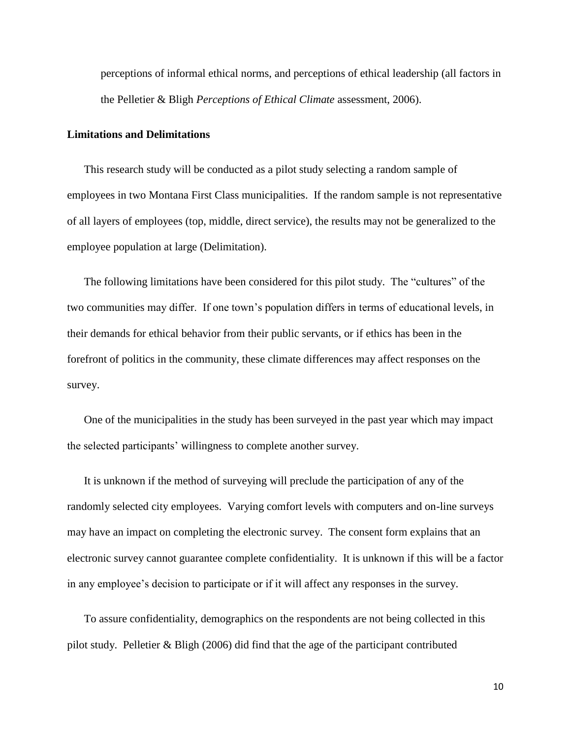perceptions of informal ethical norms, and perceptions of ethical leadership (all factors in the Pelletier & Bligh *Perceptions of Ethical Climate* assessment, 2006).

#### **Limitations and Delimitations**

This research study will be conducted as a pilot study selecting a random sample of employees in two Montana First Class municipalities. If the random sample is not representative of all layers of employees (top, middle, direct service), the results may not be generalized to the employee population at large (Delimitation).

The following limitations have been considered for this pilot study. The "cultures" of the two communities may differ. If one town's population differs in terms of educational levels, in their demands for ethical behavior from their public servants, or if ethics has been in the forefront of politics in the community, these climate differences may affect responses on the survey.

One of the municipalities in the study has been surveyed in the past year which may impact the selected participants' willingness to complete another survey.

It is unknown if the method of surveying will preclude the participation of any of the randomly selected city employees. Varying comfort levels with computers and on-line surveys may have an impact on completing the electronic survey. The consent form explains that an electronic survey cannot guarantee complete confidentiality. It is unknown if this will be a factor in any employee's decision to participate or if it will affect any responses in the survey.

To assure confidentiality, demographics on the respondents are not being collected in this pilot study. Pelletier & Bligh (2006) did find that the age of the participant contributed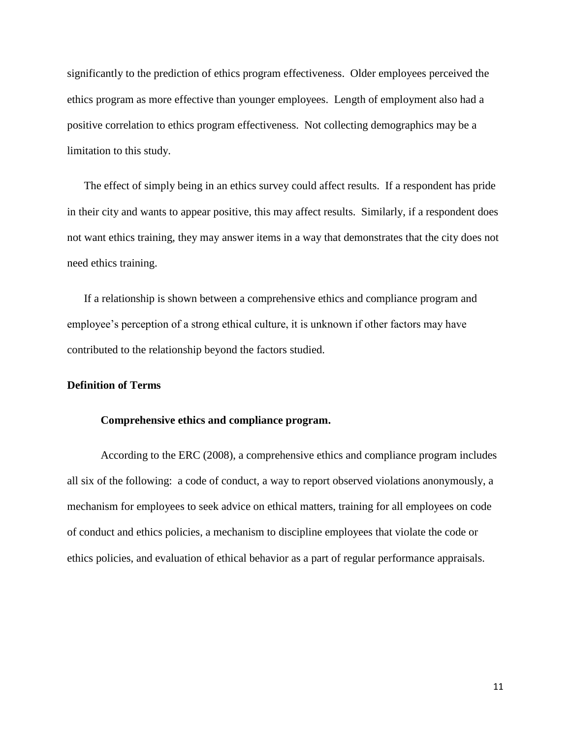significantly to the prediction of ethics program effectiveness. Older employees perceived the ethics program as more effective than younger employees. Length of employment also had a positive correlation to ethics program effectiveness. Not collecting demographics may be a limitation to this study.

The effect of simply being in an ethics survey could affect results. If a respondent has pride in their city and wants to appear positive, this may affect results. Similarly, if a respondent does not want ethics training, they may answer items in a way that demonstrates that the city does not need ethics training.

If a relationship is shown between a comprehensive ethics and compliance program and employee's perception of a strong ethical culture, it is unknown if other factors may have contributed to the relationship beyond the factors studied.

# **Definition of Terms**

## **Comprehensive ethics and compliance program.**

According to the ERC (2008), a comprehensive ethics and compliance program includes all six of the following: a code of conduct, a way to report observed violations anonymously, a mechanism for employees to seek advice on ethical matters, training for all employees on code of conduct and ethics policies, a mechanism to discipline employees that violate the code or ethics policies, and evaluation of ethical behavior as a part of regular performance appraisals.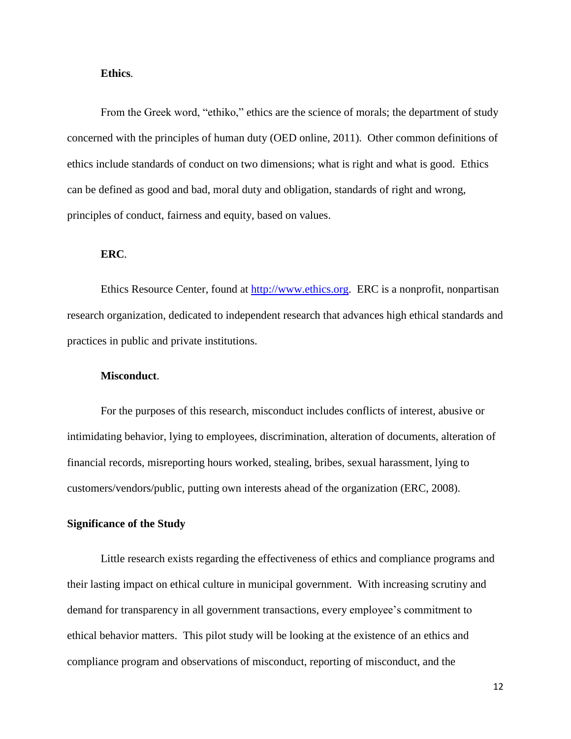#### **Ethics***.*

From the Greek word, "ethiko," ethics are the science of morals; the department of study concerned with the principles of human duty (OED online, 2011). Other common definitions of ethics include standards of conduct on two dimensions; what is right and what is good. Ethics can be defined as good and bad, moral duty and obligation, standards of right and wrong, principles of conduct, fairness and equity, based on values.

## **ERC***.*

Ethics Resource Center, found at [http://www.ethics.org.](http://www.ethics.org/) ERC is a nonprofit, nonpartisan research organization, dedicated to independent research that advances high ethical standards and practices in public and private institutions.

# **Misconduct**.

For the purposes of this research, misconduct includes conflicts of interest, abusive or intimidating behavior, lying to employees, discrimination, alteration of documents, alteration of financial records, misreporting hours worked, stealing, bribes, sexual harassment, lying to customers/vendors/public, putting own interests ahead of the organization (ERC, 2008).

# **Significance of the Study**

Little research exists regarding the effectiveness of ethics and compliance programs and their lasting impact on ethical culture in municipal government. With increasing scrutiny and demand for transparency in all government transactions, every employee's commitment to ethical behavior matters. This pilot study will be looking at the existence of an ethics and compliance program and observations of misconduct, reporting of misconduct, and the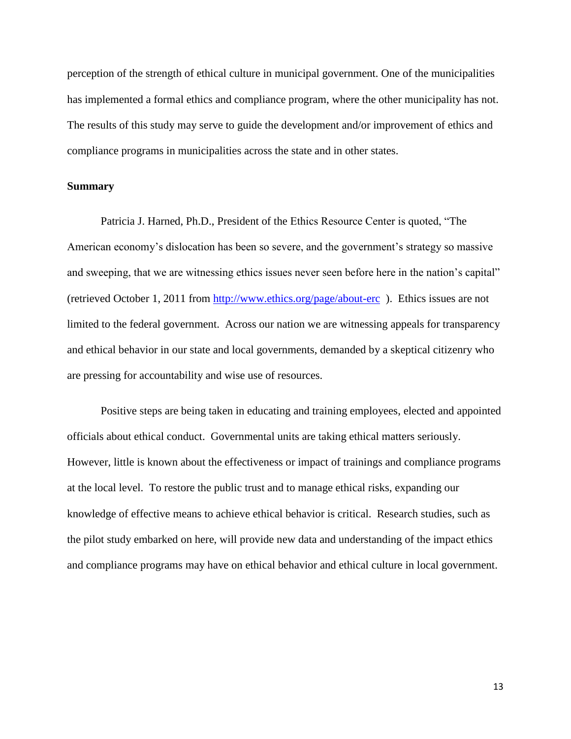perception of the strength of ethical culture in municipal government. One of the municipalities has implemented a formal ethics and compliance program, where the other municipality has not. The results of this study may serve to guide the development and/or improvement of ethics and compliance programs in municipalities across the state and in other states.

## **Summary**

Patricia J. Harned, Ph.D., President of the Ethics Resource Center is quoted, "The American economy's dislocation has been so severe, and the government's strategy so massive and sweeping, that we are witnessing ethics issues never seen before here in the nation's capital" (retrieved October 1, 2011 from<http://www.ethics.org/page/about-erc>). Ethics issues are not limited to the federal government. Across our nation we are witnessing appeals for transparency and ethical behavior in our state and local governments, demanded by a skeptical citizenry who are pressing for accountability and wise use of resources.

Positive steps are being taken in educating and training employees, elected and appointed officials about ethical conduct. Governmental units are taking ethical matters seriously. However, little is known about the effectiveness or impact of trainings and compliance programs at the local level. To restore the public trust and to manage ethical risks, expanding our knowledge of effective means to achieve ethical behavior is critical. Research studies, such as the pilot study embarked on here, will provide new data and understanding of the impact ethics and compliance programs may have on ethical behavior and ethical culture in local government.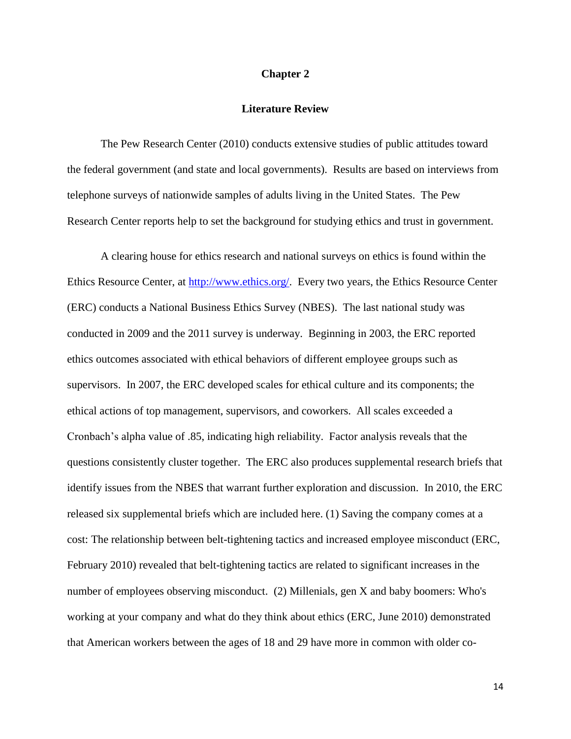#### **Chapter 2**

# **Literature Review**

The Pew Research Center (2010) conducts extensive studies of public attitudes toward the federal government (and state and local governments). Results are based on interviews from telephone surveys of nationwide samples of adults living in the United States. The Pew Research Center reports help to set the background for studying ethics and trust in government.

A clearing house for ethics research and national surveys on ethics is found within the Ethics Resource Center, at<http://www.ethics.org/>. Every two years, the Ethics Resource Center (ERC) conducts a National Business Ethics Survey (NBES). The last national study was conducted in 2009 and the 2011 survey is underway. Beginning in 2003, the ERC reported ethics outcomes associated with ethical behaviors of different employee groups such as supervisors. In 2007, the ERC developed scales for ethical culture and its components; the ethical actions of top management, supervisors, and coworkers. All scales exceeded a Cronbach's alpha value of .85, indicating high reliability. Factor analysis reveals that the questions consistently cluster together. The ERC also produces supplemental research briefs that identify issues from the NBES that warrant further exploration and discussion. In 2010, the ERC released six supplemental briefs which are included here. (1) Saving the company comes at a cost: The relationship between belt-tightening tactics and increased employee misconduct (ERC, February 2010) revealed that belt-tightening tactics are related to significant increases in the number of employees observing misconduct. (2) Millenials, gen X and baby boomers: Who's working at your company and what do they think about ethics (ERC, June 2010) demonstrated that American workers between the ages of 18 and 29 have more in common with older co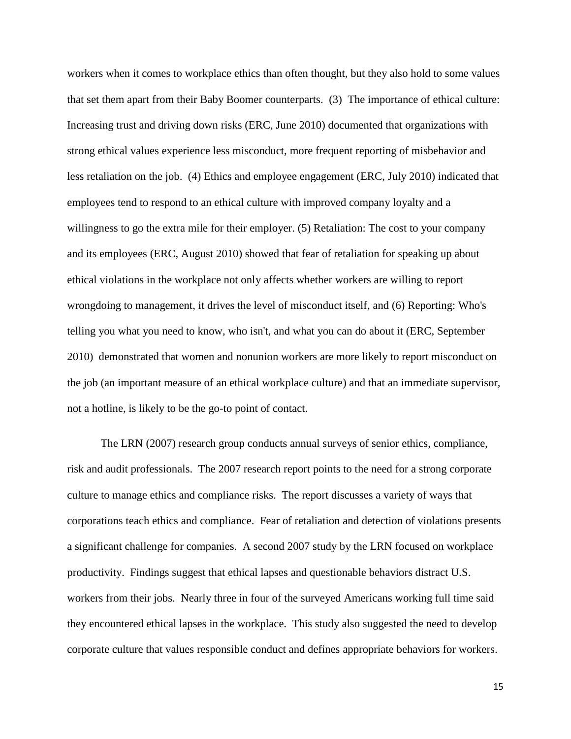workers when it comes to workplace ethics than often thought, but they also hold to some values that set them apart from their Baby Boomer counterparts. (3) The importance of ethical culture: Increasing trust and driving down risks (ERC, June 2010) documented that organizations with strong ethical values experience less misconduct, more frequent reporting of misbehavior and less retaliation on the job. (4) Ethics and employee engagement (ERC, July 2010) indicated that employees tend to respond to an ethical culture with improved company loyalty and a willingness to go the extra mile for their employer. (5) Retaliation: The cost to your company and its employees (ERC, August 2010) showed that fear of retaliation for speaking up about ethical violations in the workplace not only affects whether workers are willing to report wrongdoing to management, it drives the level of misconduct itself, and (6) Reporting: Who's telling you what you need to know, who isn't, and what you can do about it (ERC, September 2010) demonstrated that women and nonunion workers are more likely to report misconduct on the job (an important measure of an ethical workplace culture) and that an immediate supervisor, not a hotline, is likely to be the go-to point of contact.

The LRN (2007) research group conducts annual surveys of senior ethics, compliance, risk and audit professionals. The 2007 research report points to the need for a strong corporate culture to manage ethics and compliance risks. The report discusses a variety of ways that corporations teach ethics and compliance. Fear of retaliation and detection of violations presents a significant challenge for companies. A second 2007 study by the LRN focused on workplace productivity. Findings suggest that ethical lapses and questionable behaviors distract U.S. workers from their jobs. Nearly three in four of the surveyed Americans working full time said they encountered ethical lapses in the workplace. This study also suggested the need to develop corporate culture that values responsible conduct and defines appropriate behaviors for workers.

15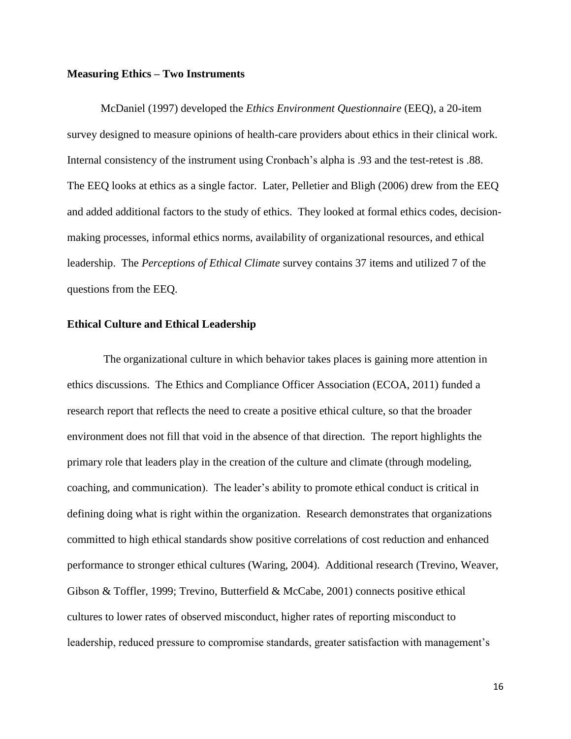#### **Measuring Ethics – Two Instruments**

McDaniel (1997) developed the *Ethics Environment Questionnaire* (EEQ), a 20-item survey designed to measure opinions of health-care providers about ethics in their clinical work. Internal consistency of the instrument using Cronbach's alpha is .93 and the test-retest is .88. The EEQ looks at ethics as a single factor. Later, Pelletier and Bligh (2006) drew from the EEQ and added additional factors to the study of ethics. They looked at formal ethics codes, decisionmaking processes, informal ethics norms, availability of organizational resources, and ethical leadership. The *Perceptions of Ethical Climate* survey contains 37 items and utilized 7 of the questions from the EEQ.

#### **Ethical Culture and Ethical Leadership**

The organizational culture in which behavior takes places is gaining more attention in ethics discussions. The Ethics and Compliance Officer Association (ECOA, 2011) funded a research report that reflects the need to create a positive ethical culture, so that the broader environment does not fill that void in the absence of that direction. The report highlights the primary role that leaders play in the creation of the culture and climate (through modeling, coaching, and communication). The leader's ability to promote ethical conduct is critical in defining doing what is right within the organization. Research demonstrates that organizations committed to high ethical standards show positive correlations of cost reduction and enhanced performance to stronger ethical cultures (Waring, 2004). Additional research (Trevino, Weaver, Gibson & Toffler, 1999; Trevino, Butterfield & McCabe, 2001) connects positive ethical cultures to lower rates of observed misconduct, higher rates of reporting misconduct to leadership, reduced pressure to compromise standards, greater satisfaction with management's

16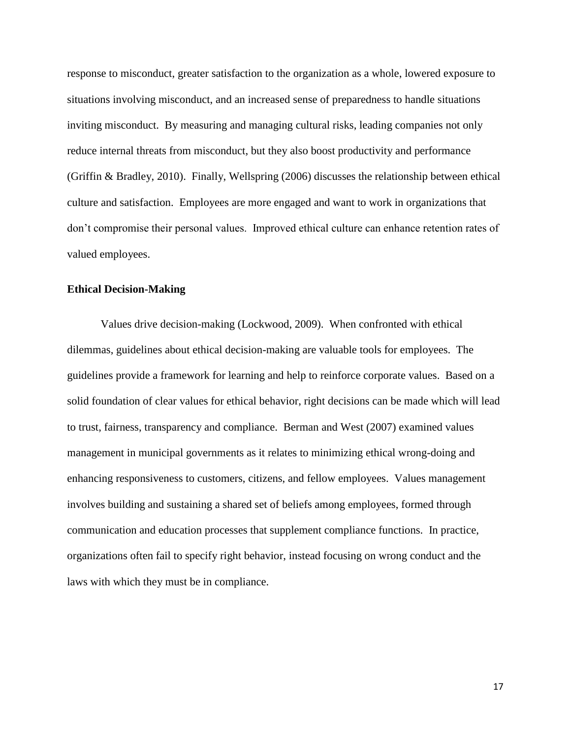response to misconduct, greater satisfaction to the organization as a whole, lowered exposure to situations involving misconduct, and an increased sense of preparedness to handle situations inviting misconduct. By measuring and managing cultural risks, leading companies not only reduce internal threats from misconduct, but they also boost productivity and performance (Griffin & Bradley, 2010). Finally, Wellspring (2006) discusses the relationship between ethical culture and satisfaction. Employees are more engaged and want to work in organizations that don't compromise their personal values. Improved ethical culture can enhance retention rates of valued employees.

## **Ethical Decision-Making**

Values drive decision-making (Lockwood, 2009). When confronted with ethical dilemmas, guidelines about ethical decision-making are valuable tools for employees. The guidelines provide a framework for learning and help to reinforce corporate values. Based on a solid foundation of clear values for ethical behavior, right decisions can be made which will lead to trust, fairness, transparency and compliance. Berman and West (2007) examined values management in municipal governments as it relates to minimizing ethical wrong-doing and enhancing responsiveness to customers, citizens, and fellow employees. Values management involves building and sustaining a shared set of beliefs among employees, formed through communication and education processes that supplement compliance functions. In practice, organizations often fail to specify right behavior, instead focusing on wrong conduct and the laws with which they must be in compliance.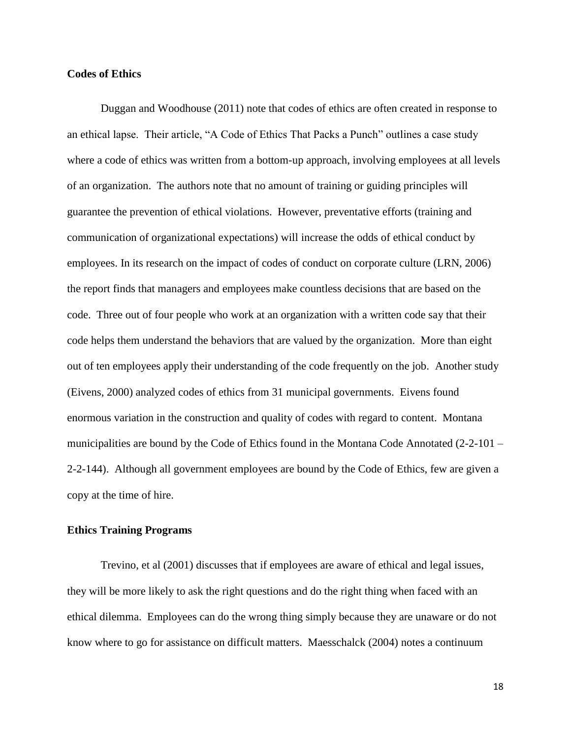### **Codes of Ethics**

Duggan and Woodhouse (2011) note that codes of ethics are often created in response to an ethical lapse. Their article, "A Code of Ethics That Packs a Punch" outlines a case study where a code of ethics was written from a bottom-up approach, involving employees at all levels of an organization. The authors note that no amount of training or guiding principles will guarantee the prevention of ethical violations. However, preventative efforts (training and communication of organizational expectations) will increase the odds of ethical conduct by employees. In its research on the impact of codes of conduct on corporate culture (LRN, 2006) the report finds that managers and employees make countless decisions that are based on the code. Three out of four people who work at an organization with a written code say that their code helps them understand the behaviors that are valued by the organization. More than eight out of ten employees apply their understanding of the code frequently on the job. Another study (Eivens, 2000) analyzed codes of ethics from 31 municipal governments. Eivens found enormous variation in the construction and quality of codes with regard to content. Montana municipalities are bound by the Code of Ethics found in the Montana Code Annotated (2-2-101 – 2-2-144). Although all government employees are bound by the Code of Ethics, few are given a copy at the time of hire.

#### **Ethics Training Programs**

Trevino, et al (2001) discusses that if employees are aware of ethical and legal issues, they will be more likely to ask the right questions and do the right thing when faced with an ethical dilemma. Employees can do the wrong thing simply because they are unaware or do not know where to go for assistance on difficult matters. Maesschalck (2004) notes a continuum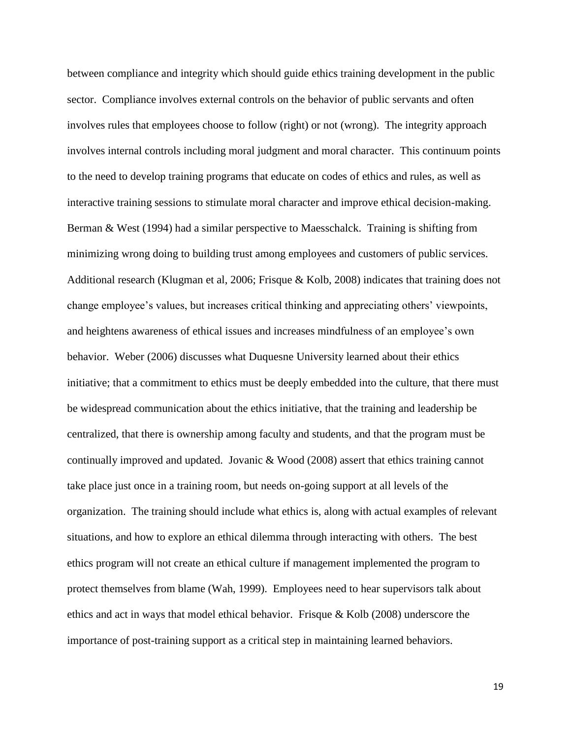between compliance and integrity which should guide ethics training development in the public sector. Compliance involves external controls on the behavior of public servants and often involves rules that employees choose to follow (right) or not (wrong). The integrity approach involves internal controls including moral judgment and moral character. This continuum points to the need to develop training programs that educate on codes of ethics and rules, as well as interactive training sessions to stimulate moral character and improve ethical decision-making. Berman & West (1994) had a similar perspective to Maesschalck. Training is shifting from minimizing wrong doing to building trust among employees and customers of public services. Additional research (Klugman et al, 2006; Frisque & Kolb, 2008) indicates that training does not change employee's values, but increases critical thinking and appreciating others' viewpoints, and heightens awareness of ethical issues and increases mindfulness of an employee's own behavior. Weber (2006) discusses what Duquesne University learned about their ethics initiative; that a commitment to ethics must be deeply embedded into the culture, that there must be widespread communication about the ethics initiative, that the training and leadership be centralized, that there is ownership among faculty and students, and that the program must be continually improved and updated. Jovanic & Wood (2008) assert that ethics training cannot take place just once in a training room, but needs on-going support at all levels of the organization. The training should include what ethics is, along with actual examples of relevant situations, and how to explore an ethical dilemma through interacting with others. The best ethics program will not create an ethical culture if management implemented the program to protect themselves from blame (Wah, 1999). Employees need to hear supervisors talk about ethics and act in ways that model ethical behavior. Frisque  $\&$  Kolb (2008) underscore the importance of post-training support as a critical step in maintaining learned behaviors.

19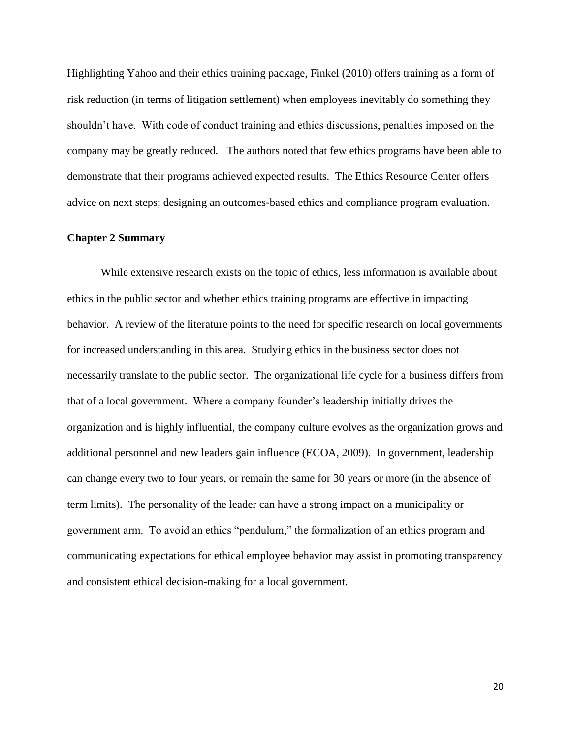Highlighting Yahoo and their ethics training package, Finkel (2010) offers training as a form of risk reduction (in terms of litigation settlement) when employees inevitably do something they shouldn't have. With code of conduct training and ethics discussions, penalties imposed on the company may be greatly reduced. The authors noted that few ethics programs have been able to demonstrate that their programs achieved expected results. The Ethics Resource Center offers advice on next steps; designing an outcomes-based ethics and compliance program evaluation.

## **Chapter 2 Summary**

While extensive research exists on the topic of ethics, less information is available about ethics in the public sector and whether ethics training programs are effective in impacting behavior. A review of the literature points to the need for specific research on local governments for increased understanding in this area. Studying ethics in the business sector does not necessarily translate to the public sector. The organizational life cycle for a business differs from that of a local government. Where a company founder's leadership initially drives the organization and is highly influential, the company culture evolves as the organization grows and additional personnel and new leaders gain influence (ECOA, 2009). In government, leadership can change every two to four years, or remain the same for 30 years or more (in the absence of term limits). The personality of the leader can have a strong impact on a municipality or government arm. To avoid an ethics "pendulum," the formalization of an ethics program and communicating expectations for ethical employee behavior may assist in promoting transparency and consistent ethical decision-making for a local government.

20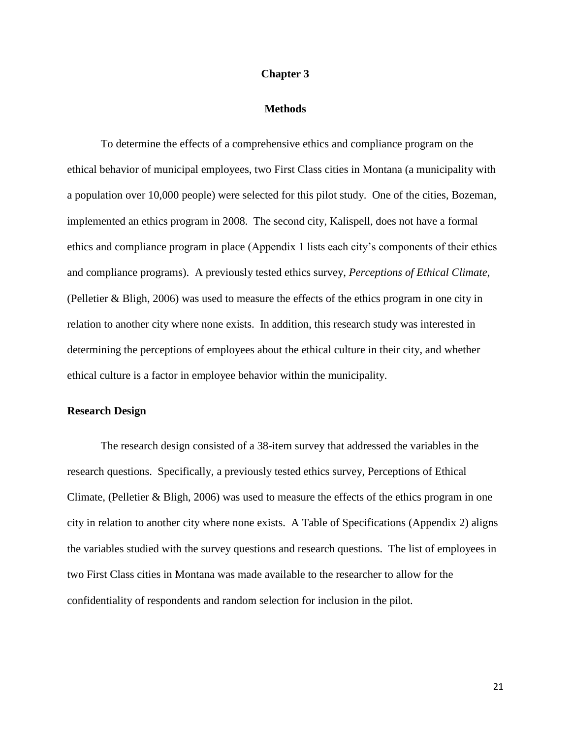### **Chapter 3**

#### **Methods**

To determine the effects of a comprehensive ethics and compliance program on the ethical behavior of municipal employees, two First Class cities in Montana (a municipality with a population over 10,000 people) were selected for this pilot study. One of the cities, Bozeman, implemented an ethics program in 2008. The second city, Kalispell, does not have a formal ethics and compliance program in place (Appendix 1 lists each city's components of their ethics and compliance programs). A previously tested ethics survey, *Perceptions of Ethical Climate*, (Pelletier & Bligh, 2006) was used to measure the effects of the ethics program in one city in relation to another city where none exists. In addition, this research study was interested in determining the perceptions of employees about the ethical culture in their city, and whether ethical culture is a factor in employee behavior within the municipality.

#### **Research Design**

The research design consisted of a 38-item survey that addressed the variables in the research questions. Specifically, a previously tested ethics survey, Perceptions of Ethical Climate, (Pelletier & Bligh, 2006) was used to measure the effects of the ethics program in one city in relation to another city where none exists. A Table of Specifications (Appendix 2) aligns the variables studied with the survey questions and research questions. The list of employees in two First Class cities in Montana was made available to the researcher to allow for the confidentiality of respondents and random selection for inclusion in the pilot.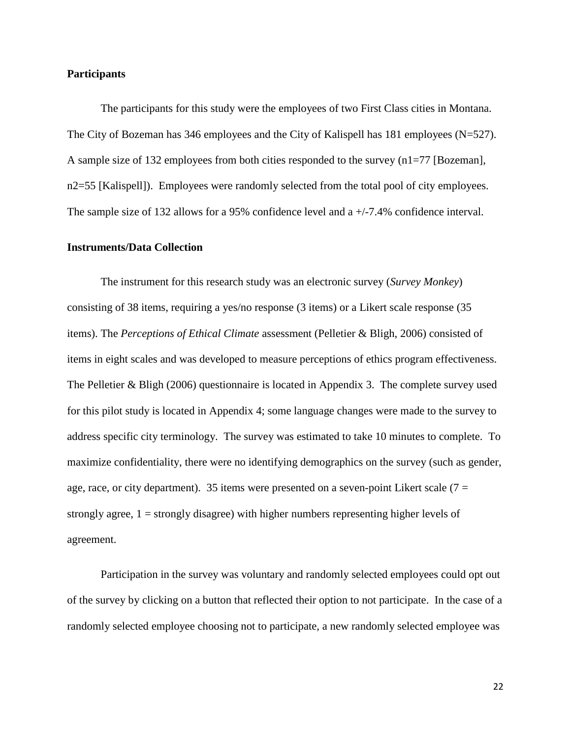### **Participants**

The participants for this study were the employees of two First Class cities in Montana. The City of Bozeman has 346 employees and the City of Kalispell has 181 employees (N=527). A sample size of 132 employees from both cities responded to the survey (n1=77 [Bozeman], n2=55 [Kalispell]). Employees were randomly selected from the total pool of city employees. The sample size of 132 allows for a 95% confidence level and a +/-7.4% confidence interval.

#### **Instruments/Data Collection**

The instrument for this research study was an electronic survey (*Survey Monkey*) consisting of 38 items, requiring a yes/no response (3 items) or a Likert scale response (35 items). The *Perceptions of Ethical Climate* assessment (Pelletier & Bligh, 2006) consisted of items in eight scales and was developed to measure perceptions of ethics program effectiveness. The Pelletier & Bligh (2006) questionnaire is located in Appendix 3. The complete survey used for this pilot study is located in Appendix 4; some language changes were made to the survey to address specific city terminology. The survey was estimated to take 10 minutes to complete. To maximize confidentiality, there were no identifying demographics on the survey (such as gender, age, race, or city department). 35 items were presented on a seven-point Likert scale ( $7 =$ strongly agree,  $1 =$  strongly disagree) with higher numbers representing higher levels of agreement.

Participation in the survey was voluntary and randomly selected employees could opt out of the survey by clicking on a button that reflected their option to not participate. In the case of a randomly selected employee choosing not to participate, a new randomly selected employee was

22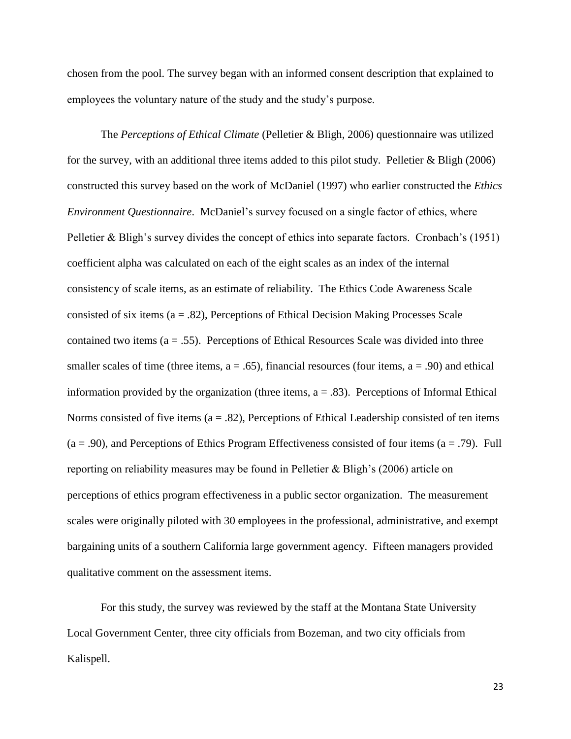chosen from the pool. The survey began with an informed consent description that explained to employees the voluntary nature of the study and the study's purpose.

The *Perceptions of Ethical Climate* (Pelletier & Bligh, 2006) questionnaire was utilized for the survey, with an additional three items added to this pilot study. Pelletier & Bligh (2006) constructed this survey based on the work of McDaniel (1997) who earlier constructed the *Ethics Environment Questionnaire*. McDaniel's survey focused on a single factor of ethics, where Pelletier & Bligh's survey divides the concept of ethics into separate factors. Cronbach's (1951) coefficient alpha was calculated on each of the eight scales as an index of the internal consistency of scale items, as an estimate of reliability. The Ethics Code Awareness Scale consisted of six items  $(a = .82)$ , Perceptions of Ethical Decision Making Processes Scale contained two items  $(a = .55)$ . Perceptions of Ethical Resources Scale was divided into three smaller scales of time (three items,  $a = .65$ ), financial resources (four items,  $a = .90$ ) and ethical information provided by the organization (three items,  $a = .83$ ). Perceptions of Informal Ethical Norms consisted of five items ( $a = .82$ ), Perceptions of Ethical Leadership consisted of ten items  $(a = .90)$ , and Perceptions of Ethics Program Effectiveness consisted of four items  $(a = .79)$ . Full reporting on reliability measures may be found in Pelletier & Bligh's (2006) article on perceptions of ethics program effectiveness in a public sector organization. The measurement scales were originally piloted with 30 employees in the professional, administrative, and exempt bargaining units of a southern California large government agency. Fifteen managers provided qualitative comment on the assessment items.

For this study, the survey was reviewed by the staff at the Montana State University Local Government Center, three city officials from Bozeman, and two city officials from Kalispell.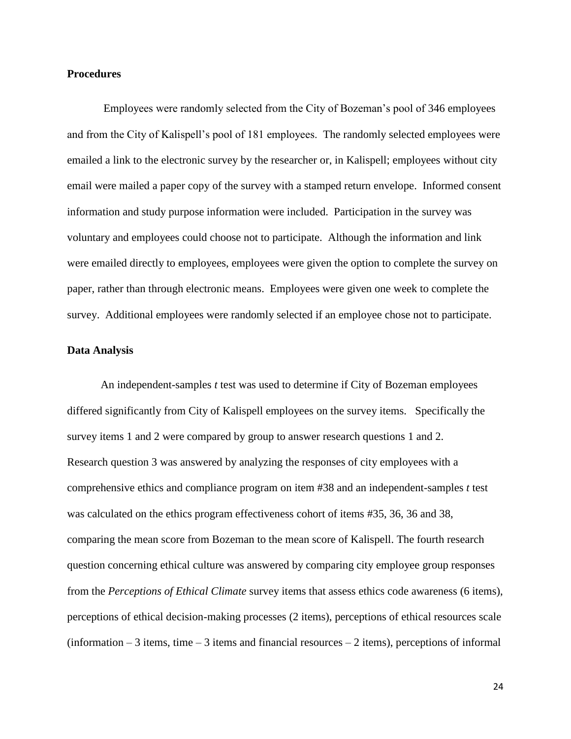### **Procedures**

Employees were randomly selected from the City of Bozeman's pool of 346 employees and from the City of Kalispell's pool of 181 employees. The randomly selected employees were emailed a link to the electronic survey by the researcher or, in Kalispell; employees without city email were mailed a paper copy of the survey with a stamped return envelope. Informed consent information and study purpose information were included. Participation in the survey was voluntary and employees could choose not to participate. Although the information and link were emailed directly to employees, employees were given the option to complete the survey on paper, rather than through electronic means. Employees were given one week to complete the survey. Additional employees were randomly selected if an employee chose not to participate.

#### **Data Analysis**

An independent-samples *t* test was used to determine if City of Bozeman employees differed significantly from City of Kalispell employees on the survey items. Specifically the survey items 1 and 2 were compared by group to answer research questions 1 and 2. Research question 3 was answered by analyzing the responses of city employees with a comprehensive ethics and compliance program on item #38 and an independent-samples *t* test was calculated on the ethics program effectiveness cohort of items #35, 36, 36 and 38, comparing the mean score from Bozeman to the mean score of Kalispell. The fourth research question concerning ethical culture was answered by comparing city employee group responses from the *Perceptions of Ethical Climate* survey items that assess ethics code awareness (6 items), perceptions of ethical decision-making processes (2 items), perceptions of ethical resources scale  $(information - 3 items, time - 3 items and financial resources - 2 items), perceptions of informal$ 

24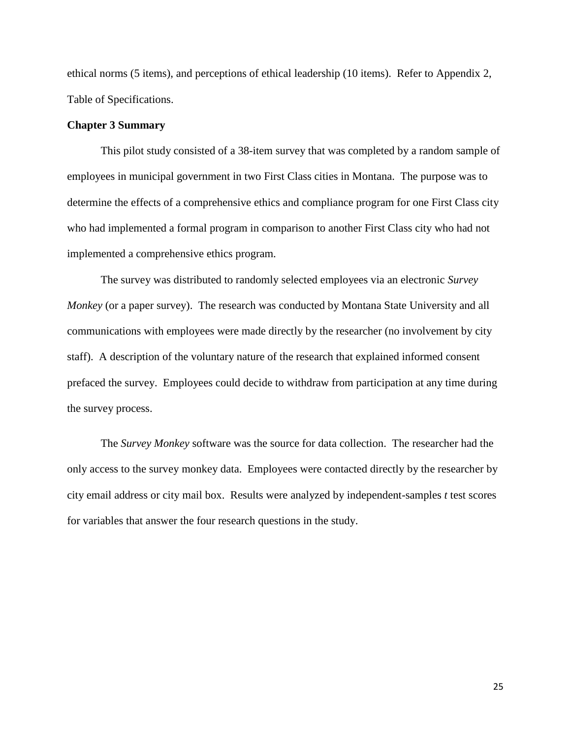ethical norms (5 items), and perceptions of ethical leadership (10 items). Refer to Appendix 2, Table of Specifications.

# **Chapter 3 Summary**

This pilot study consisted of a 38-item survey that was completed by a random sample of employees in municipal government in two First Class cities in Montana. The purpose was to determine the effects of a comprehensive ethics and compliance program for one First Class city who had implemented a formal program in comparison to another First Class city who had not implemented a comprehensive ethics program.

The survey was distributed to randomly selected employees via an electronic *Survey Monkey* (or a paper survey). The research was conducted by Montana State University and all communications with employees were made directly by the researcher (no involvement by city staff). A description of the voluntary nature of the research that explained informed consent prefaced the survey. Employees could decide to withdraw from participation at any time during the survey process.

The *Survey Monkey* software was the source for data collection. The researcher had the only access to the survey monkey data. Employees were contacted directly by the researcher by city email address or city mail box. Results were analyzed by independent-samples *t* test scores for variables that answer the four research questions in the study.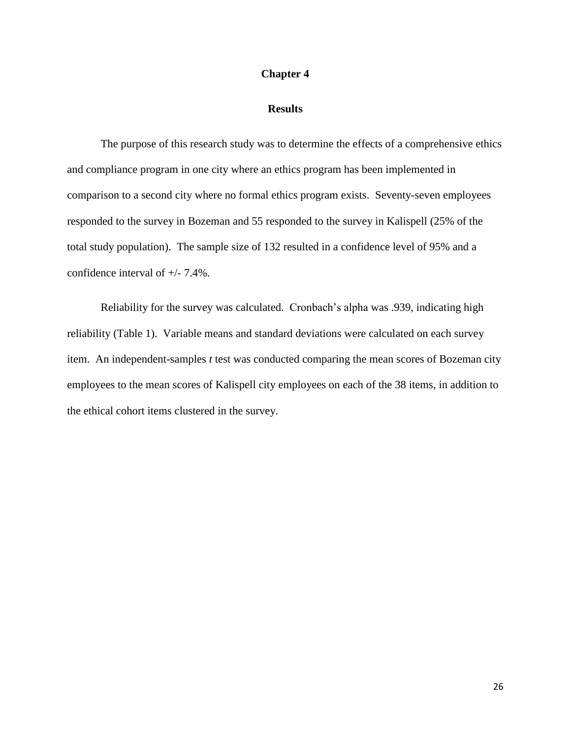#### **Chapter 4**

# **Results**

The purpose of this research study was to determine the effects of a comprehensive ethics and compliance program in one city where an ethics program has been implemented in comparison to a second city where no formal ethics program exists. Seventy-seven employees responded to the survey in Bozeman and 55 responded to the survey in Kalispell (25% of the total study population). The sample size of 132 resulted in a confidence level of 95% and a confidence interval of +/- 7.4%.

Reliability for the survey was calculated. Cronbach's alpha was .939, indicating high reliability (Table 1). Variable means and standard deviations were calculated on each survey item. An independent-samples *t* test was conducted comparing the mean scores of Bozeman city employees to the mean scores of Kalispell city employees on each of the 38 items, in addition to the ethical cohort items clustered in the survey.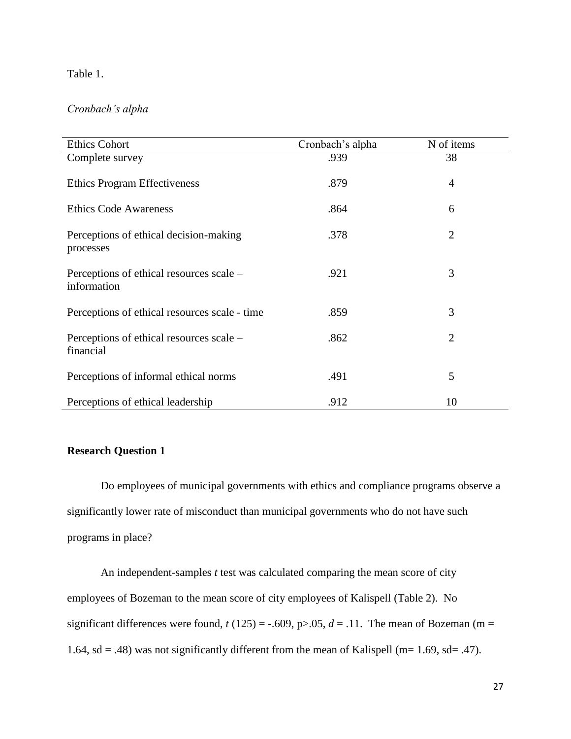# Table 1.

# *Cronbach's alpha*

| <b>Ethics Cohort</b>                                    | Cronbach's alpha | N of items     |
|---------------------------------------------------------|------------------|----------------|
| Complete survey                                         | .939             | 38             |
| <b>Ethics Program Effectiveness</b>                     | .879             | $\overline{4}$ |
| <b>Ethics Code Awareness</b>                            | .864             | 6              |
| Perceptions of ethical decision-making<br>processes     | .378             | $\overline{2}$ |
| Perceptions of ethical resources scale –<br>information | .921             | 3              |
| Perceptions of ethical resources scale - time           | .859             | 3              |
| Perceptions of ethical resources scale –<br>financial   | .862             | $\overline{2}$ |
| Perceptions of informal ethical norms                   | .491             | 5              |
| Perceptions of ethical leadership                       | .912             | 10             |

# **Research Question 1**

Do employees of municipal governments with ethics and compliance programs observe a significantly lower rate of misconduct than municipal governments who do not have such programs in place?

An independent-samples *t* test was calculated comparing the mean score of city employees of Bozeman to the mean score of city employees of Kalispell (Table 2). No significant differences were found,  $t(125) = -.609$ ,  $p > .05$ ,  $d = .11$ . The mean of Bozeman (m = 1.64, sd = .48) was not significantly different from the mean of Kalispell (m= 1.69, sd= .47).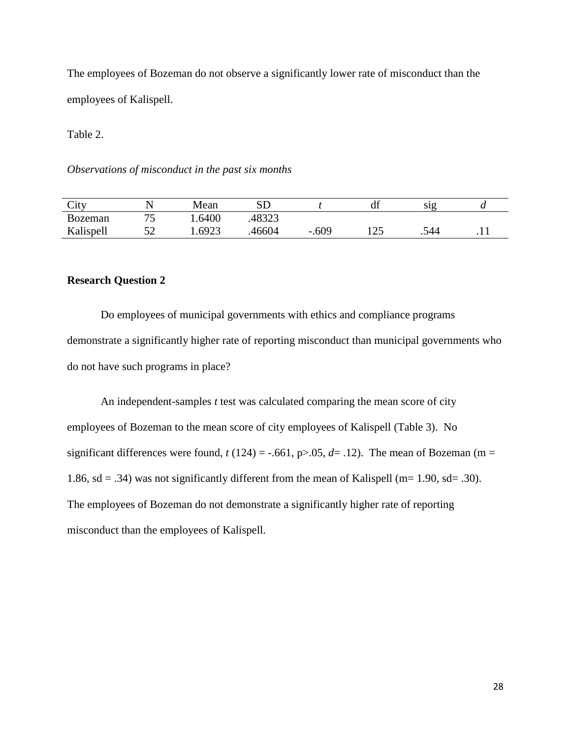The employees of Bozeman do not observe a significantly lower rate of misconduct than the employees of Kalispell.

Table 2.

*Observations of misconduct in the past six months*

| City           |                               | Mean   | сn<br>∟ט       |         | df     | S1Q  |   |
|----------------|-------------------------------|--------|----------------|---------|--------|------|---|
| <b>Bozeman</b> | $\overline{\phantom{a}}$<br>~ | 1.6400 | 10222<br>د∠رہ+ |         |        |      |   |
| Kalispell      | ہے<br>ັ້                      | 1.6923 | 46604          | $-.609$ | $\cap$ | .544 | . |

# **Research Question 2**

Do employees of municipal governments with ethics and compliance programs demonstrate a significantly higher rate of reporting misconduct than municipal governments who do not have such programs in place?

An independent-samples *t* test was calculated comparing the mean score of city employees of Bozeman to the mean score of city employees of Kalispell (Table 3). No significant differences were found,  $t(124) = -.661$ ,  $p > .05$ ,  $d = .12$ ). The mean of Bozeman (m = 1.86, sd = .34) was not significantly different from the mean of Kalispell (m= 1.90, sd= .30). The employees of Bozeman do not demonstrate a significantly higher rate of reporting misconduct than the employees of Kalispell.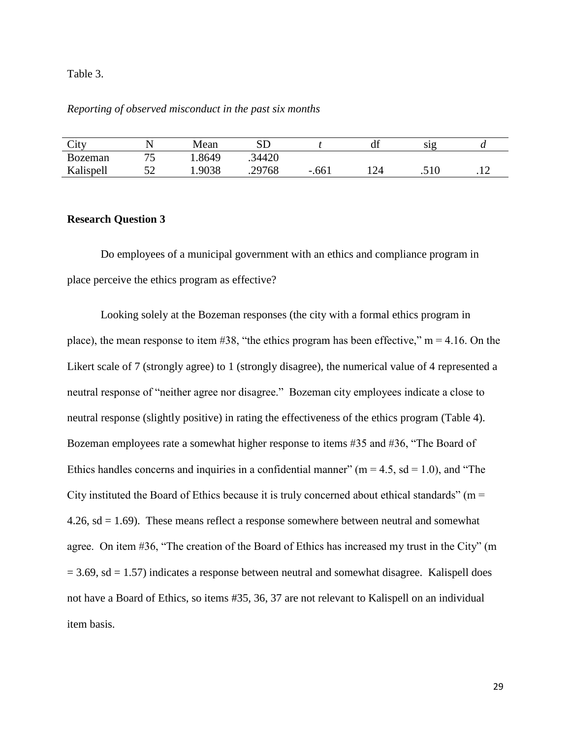Table 3.

# *Reporting of observed misconduct in the past six months*

| City           |    | Mean   | CD     |                                  | df  | S12    | u                                  |
|----------------|----|--------|--------|----------------------------------|-----|--------|------------------------------------|
| <b>Bozeman</b> | コピ | .8649  | .34420 |                                  |     |        |                                    |
| Kalispell      | ◡∼ | 1.9038 | .29768 | .661<br>$\overline{\phantom{0}}$ | 124 | .J 1 U | $\cdot$ . $\overline{\phantom{0}}$ |

#### **Research Question 3**

Do employees of a municipal government with an ethics and compliance program in place perceive the ethics program as effective?

Looking solely at the Bozeman responses (the city with a formal ethics program in place), the mean response to item  $#38$ , "the ethics program has been effective," m = 4.16. On the Likert scale of 7 (strongly agree) to 1 (strongly disagree), the numerical value of 4 represented a neutral response of "neither agree nor disagree." Bozeman city employees indicate a close to neutral response (slightly positive) in rating the effectiveness of the ethics program (Table 4). Bozeman employees rate a somewhat higher response to items #35 and #36, "The Board of Ethics handles concerns and inquiries in a confidential manner" ( $m = 4.5$ , sd = 1.0), and "The City instituted the Board of Ethics because it is truly concerned about ethical standards" ( $m =$ 4.26,  $sd = 1.69$ ). These means reflect a response somewhere between neutral and somewhat agree. On item #36, "The creation of the Board of Ethics has increased my trust in the City" (m  $= 3.69$ , sd  $= 1.57$ ) indicates a response between neutral and somewhat disagree. Kalispell does not have a Board of Ethics, so items #35, 36, 37 are not relevant to Kalispell on an individual item basis.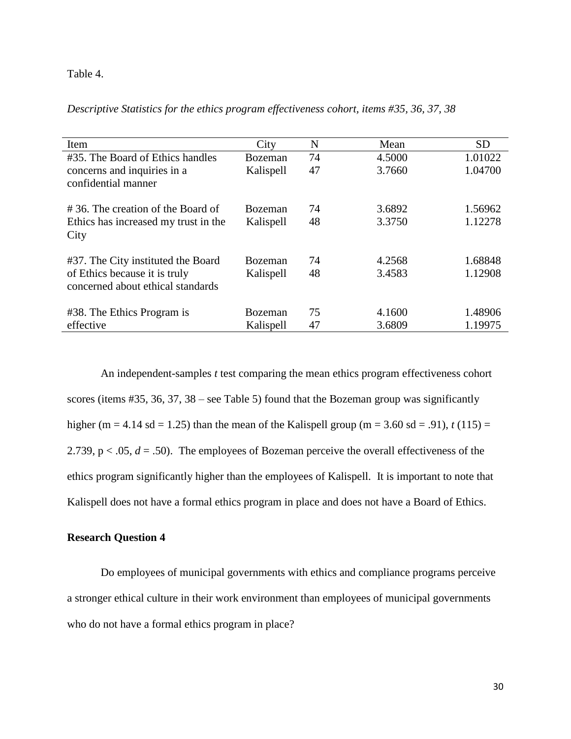# Table 4.

| Item                                 | City           | N  | Mean   | <b>SD</b> |
|--------------------------------------|----------------|----|--------|-----------|
| #35. The Board of Ethics handles     | <b>Bozeman</b> | 74 | 4.5000 | 1.01022   |
| concerns and inquiries in a          | Kalispell      | 47 | 3.7660 | 1.04700   |
| confidential manner                  |                |    |        |           |
| #36. The creation of the Board of    | <b>Bozeman</b> | 74 | 3.6892 | 1.56962   |
| Ethics has increased my trust in the | Kalispell      | 48 | 3.3750 | 1.12278   |
| City                                 |                |    |        |           |
| #37. The City instituted the Board   | <b>Bozeman</b> | 74 | 4.2568 | 1.68848   |
| of Ethics because it is truly        | Kalispell      | 48 | 3.4583 | 1.12908   |
| concerned about ethical standards    |                |    |        |           |
| #38. The Ethics Program is           | Bozeman        | 75 | 4.1600 | 1.48906   |
| effective                            | Kalispell      | 47 | 3.6809 | 1.19975   |

An independent-samples *t* test comparing the mean ethics program effectiveness cohort scores (items #35, 36, 37, 38 – see Table 5) found that the Bozeman group was significantly higher (m = 4.14 sd = 1.25) than the mean of the Kalispell group (m = 3.60 sd = .91),  $t(115)$  = 2.739,  $p < .05$ ,  $d = .50$ ). The employees of Bozeman perceive the overall effectiveness of the ethics program significantly higher than the employees of Kalispell. It is important to note that Kalispell does not have a formal ethics program in place and does not have a Board of Ethics.

# **Research Question 4**

Do employees of municipal governments with ethics and compliance programs perceive a stronger ethical culture in their work environment than employees of municipal governments who do not have a formal ethics program in place?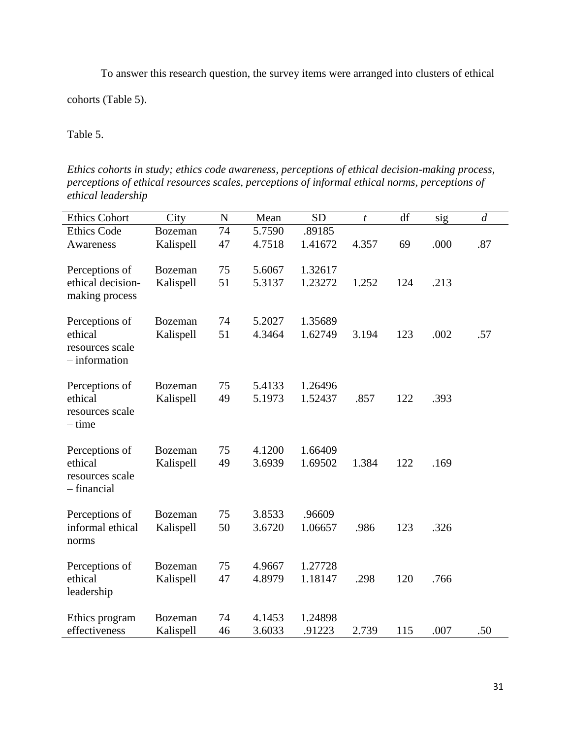To answer this research question, the survey items were arranged into clusters of ethical

cohorts (Table 5).

Table 5.

*Ethics cohorts in study; ethics code awareness, perceptions of ethical decision-making process, perceptions of ethical resources scales, perceptions of informal ethical norms, perceptions of ethical leadership*

| <b>Ethics Cohort</b> | City           | $\mathbf N$ | Mean   | <b>SD</b> | t     | df  | sig  | $\boldsymbol{d}$ |
|----------------------|----------------|-------------|--------|-----------|-------|-----|------|------------------|
| <b>Ethics Code</b>   | <b>Bozeman</b> | 74          | 5.7590 | .89185    |       |     |      |                  |
| Awareness            | Kalispell      | 47          | 4.7518 | 1.41672   | 4.357 | 69  | .000 | .87              |
|                      |                |             |        |           |       |     |      |                  |
| Perceptions of       | <b>Bozeman</b> | 75          | 5.6067 | 1.32617   |       |     |      |                  |
| ethical decision-    | Kalispell      | 51          | 5.3137 | 1.23272   | 1.252 | 124 | .213 |                  |
| making process       |                |             |        |           |       |     |      |                  |
| Perceptions of       | <b>Bozeman</b> | 74          | 5.2027 | 1.35689   |       |     |      |                  |
| ethical              | Kalispell      | 51          | 4.3464 | 1.62749   | 3.194 | 123 | .002 | .57              |
| resources scale      |                |             |        |           |       |     |      |                  |
| $-$ information      |                |             |        |           |       |     |      |                  |
|                      |                |             |        |           |       |     |      |                  |
| Perceptions of       | <b>Bozeman</b> | 75          | 5.4133 | 1.26496   |       |     |      |                  |
| ethical              | Kalispell      | 49          | 5.1973 | 1.52437   | .857  | 122 | .393 |                  |
| resources scale      |                |             |        |           |       |     |      |                  |
| – time               |                |             |        |           |       |     |      |                  |
|                      |                |             |        |           |       |     |      |                  |
| Perceptions of       | <b>Bozeman</b> | 75          | 4.1200 | 1.66409   |       |     |      |                  |
| ethical              | Kalispell      | 49          | 3.6939 | 1.69502   | 1.384 | 122 | .169 |                  |
| resources scale      |                |             |        |           |       |     |      |                  |
| - financial          |                |             |        |           |       |     |      |                  |
| Perceptions of       | <b>Bozeman</b> | 75          | 3.8533 | .96609    |       |     |      |                  |
| informal ethical     | Kalispell      | 50          | 3.6720 | 1.06657   | .986  | 123 | .326 |                  |
| norms                |                |             |        |           |       |     |      |                  |
|                      |                |             |        |           |       |     |      |                  |
| Perceptions of       | <b>Bozeman</b> | 75          | 4.9667 | 1.27728   |       |     |      |                  |
| ethical              | Kalispell      | 47          | 4.8979 | 1.18147   | .298  | 120 | .766 |                  |
| leadership           |                |             |        |           |       |     |      |                  |
|                      |                |             |        |           |       |     |      |                  |
| Ethics program       | <b>Bozeman</b> | 74          | 4.1453 | 1.24898   |       |     |      |                  |
| effectiveness        | Kalispell      | 46          | 3.6033 | .91223    | 2.739 | 115 | .007 | .50              |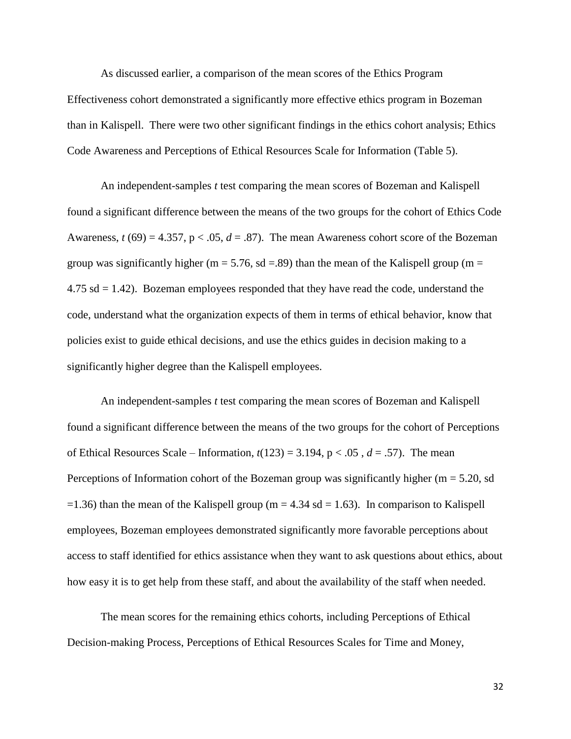As discussed earlier, a comparison of the mean scores of the Ethics Program Effectiveness cohort demonstrated a significantly more effective ethics program in Bozeman than in Kalispell. There were two other significant findings in the ethics cohort analysis; Ethics Code Awareness and Perceptions of Ethical Resources Scale for Information (Table 5).

An independent-samples *t* test comparing the mean scores of Bozeman and Kalispell found a significant difference between the means of the two groups for the cohort of Ethics Code Awareness,  $t(69) = 4.357$ ,  $p < .05$ ,  $d = .87$ ). The mean Awareness cohort score of the Bozeman group was significantly higher (m = 5.76, sd = 89) than the mean of the Kalispell group (m =  $4.75$  sd  $= 1.42$ ). Bozeman employees responded that they have read the code, understand the code, understand what the organization expects of them in terms of ethical behavior, know that policies exist to guide ethical decisions, and use the ethics guides in decision making to a significantly higher degree than the Kalispell employees.

An independent-samples *t* test comparing the mean scores of Bozeman and Kalispell found a significant difference between the means of the two groups for the cohort of Perceptions of Ethical Resources Scale – Information,  $t(123) = 3.194$ ,  $p < .05$ ,  $d = .57$ ). The mean Perceptions of Information cohort of the Bozeman group was significantly higher ( $m = 5.20$ , sd  $=1.36$ ) than the mean of the Kalispell group (m = 4.34 sd = 1.63). In comparison to Kalispell employees, Bozeman employees demonstrated significantly more favorable perceptions about access to staff identified for ethics assistance when they want to ask questions about ethics, about how easy it is to get help from these staff, and about the availability of the staff when needed.

The mean scores for the remaining ethics cohorts, including Perceptions of Ethical Decision-making Process, Perceptions of Ethical Resources Scales for Time and Money,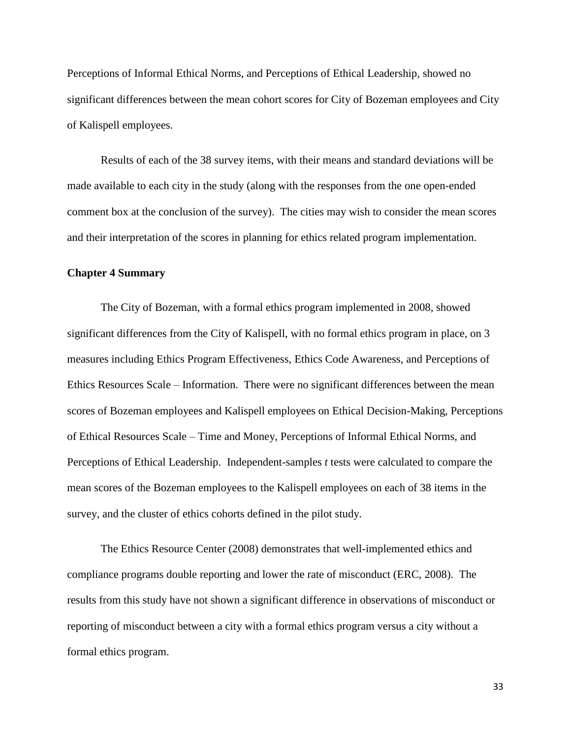Perceptions of Informal Ethical Norms, and Perceptions of Ethical Leadership, showed no significant differences between the mean cohort scores for City of Bozeman employees and City of Kalispell employees.

Results of each of the 38 survey items, with their means and standard deviations will be made available to each city in the study (along with the responses from the one open-ended comment box at the conclusion of the survey). The cities may wish to consider the mean scores and their interpretation of the scores in planning for ethics related program implementation.

#### **Chapter 4 Summary**

The City of Bozeman, with a formal ethics program implemented in 2008, showed significant differences from the City of Kalispell, with no formal ethics program in place, on 3 measures including Ethics Program Effectiveness, Ethics Code Awareness, and Perceptions of Ethics Resources Scale – Information. There were no significant differences between the mean scores of Bozeman employees and Kalispell employees on Ethical Decision-Making, Perceptions of Ethical Resources Scale – Time and Money, Perceptions of Informal Ethical Norms, and Perceptions of Ethical Leadership. Independent-samples *t* tests were calculated to compare the mean scores of the Bozeman employees to the Kalispell employees on each of 38 items in the survey, and the cluster of ethics cohorts defined in the pilot study.

The Ethics Resource Center (2008) demonstrates that well-implemented ethics and compliance programs double reporting and lower the rate of misconduct (ERC, 2008). The results from this study have not shown a significant difference in observations of misconduct or reporting of misconduct between a city with a formal ethics program versus a city without a formal ethics program.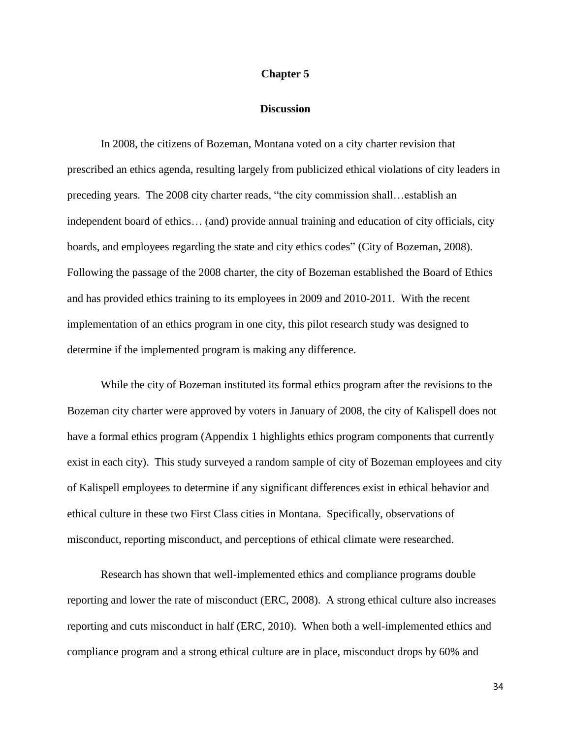#### **Chapter 5**

#### **Discussion**

In 2008, the citizens of Bozeman, Montana voted on a city charter revision that prescribed an ethics agenda, resulting largely from publicized ethical violations of city leaders in preceding years. The 2008 city charter reads, "the city commission shall…establish an independent board of ethics… (and) provide annual training and education of city officials, city boards, and employees regarding the state and city ethics codes" (City of Bozeman, 2008). Following the passage of the 2008 charter, the city of Bozeman established the Board of Ethics and has provided ethics training to its employees in 2009 and 2010-2011. With the recent implementation of an ethics program in one city, this pilot research study was designed to determine if the implemented program is making any difference.

While the city of Bozeman instituted its formal ethics program after the revisions to the Bozeman city charter were approved by voters in January of 2008, the city of Kalispell does not have a formal ethics program (Appendix 1 highlights ethics program components that currently exist in each city). This study surveyed a random sample of city of Bozeman employees and city of Kalispell employees to determine if any significant differences exist in ethical behavior and ethical culture in these two First Class cities in Montana. Specifically, observations of misconduct, reporting misconduct, and perceptions of ethical climate were researched.

Research has shown that well-implemented ethics and compliance programs double reporting and lower the rate of misconduct (ERC, 2008). A strong ethical culture also increases reporting and cuts misconduct in half (ERC, 2010). When both a well-implemented ethics and compliance program and a strong ethical culture are in place, misconduct drops by 60% and

34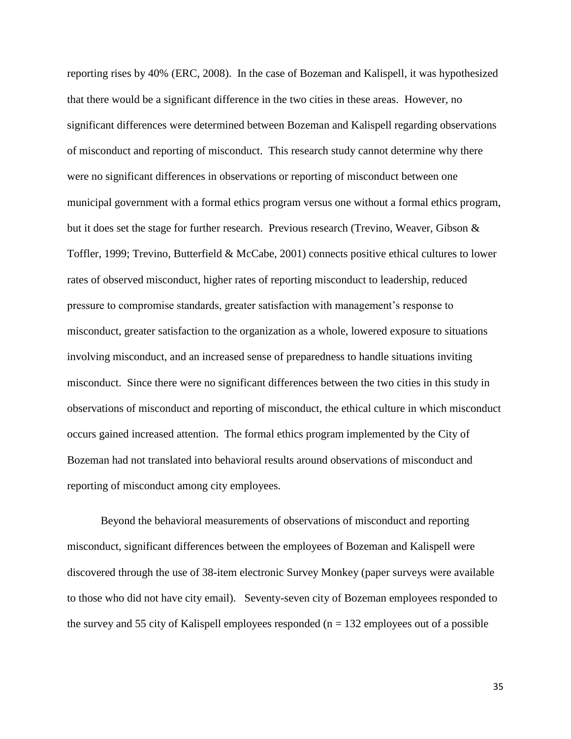reporting rises by 40% (ERC, 2008). In the case of Bozeman and Kalispell, it was hypothesized that there would be a significant difference in the two cities in these areas. However, no significant differences were determined between Bozeman and Kalispell regarding observations of misconduct and reporting of misconduct. This research study cannot determine why there were no significant differences in observations or reporting of misconduct between one municipal government with a formal ethics program versus one without a formal ethics program, but it does set the stage for further research. Previous research (Trevino, Weaver, Gibson & Toffler, 1999; Trevino, Butterfield & McCabe, 2001) connects positive ethical cultures to lower rates of observed misconduct, higher rates of reporting misconduct to leadership, reduced pressure to compromise standards, greater satisfaction with management's response to misconduct, greater satisfaction to the organization as a whole, lowered exposure to situations involving misconduct, and an increased sense of preparedness to handle situations inviting misconduct. Since there were no significant differences between the two cities in this study in observations of misconduct and reporting of misconduct, the ethical culture in which misconduct occurs gained increased attention. The formal ethics program implemented by the City of Bozeman had not translated into behavioral results around observations of misconduct and reporting of misconduct among city employees.

Beyond the behavioral measurements of observations of misconduct and reporting misconduct, significant differences between the employees of Bozeman and Kalispell were discovered through the use of 38-item electronic Survey Monkey (paper surveys were available to those who did not have city email). Seventy-seven city of Bozeman employees responded to the survey and 55 city of Kalispell employees responded ( $n = 132$  employees out of a possible

35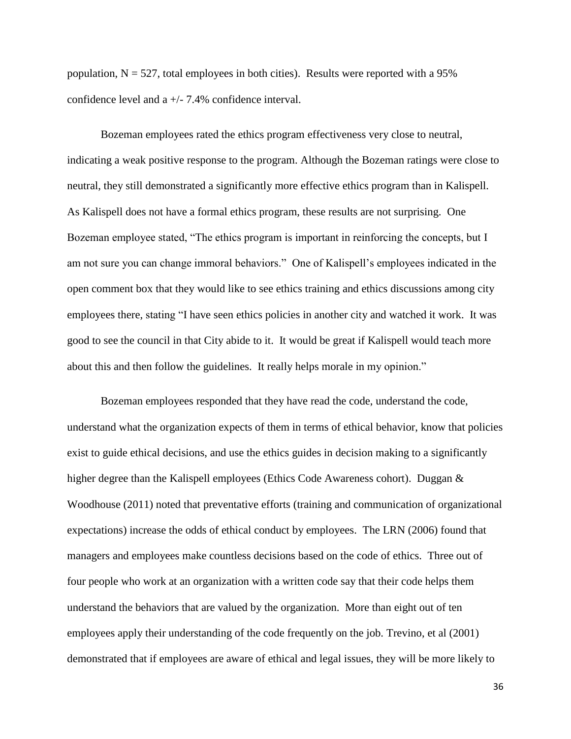population,  $N = 527$ , total employees in both cities). Results were reported with a 95% confidence level and a +/- 7.4% confidence interval.

Bozeman employees rated the ethics program effectiveness very close to neutral, indicating a weak positive response to the program. Although the Bozeman ratings were close to neutral, they still demonstrated a significantly more effective ethics program than in Kalispell. As Kalispell does not have a formal ethics program, these results are not surprising. One Bozeman employee stated, "The ethics program is important in reinforcing the concepts, but I am not sure you can change immoral behaviors." One of Kalispell's employees indicated in the open comment box that they would like to see ethics training and ethics discussions among city employees there, stating "I have seen ethics policies in another city and watched it work. It was good to see the council in that City abide to it. It would be great if Kalispell would teach more about this and then follow the guidelines. It really helps morale in my opinion."

Bozeman employees responded that they have read the code, understand the code, understand what the organization expects of them in terms of ethical behavior, know that policies exist to guide ethical decisions, and use the ethics guides in decision making to a significantly higher degree than the Kalispell employees (Ethics Code Awareness cohort). Duggan & Woodhouse (2011) noted that preventative efforts (training and communication of organizational expectations) increase the odds of ethical conduct by employees. The LRN (2006) found that managers and employees make countless decisions based on the code of ethics. Three out of four people who work at an organization with a written code say that their code helps them understand the behaviors that are valued by the organization. More than eight out of ten employees apply their understanding of the code frequently on the job. Trevino, et al (2001) demonstrated that if employees are aware of ethical and legal issues, they will be more likely to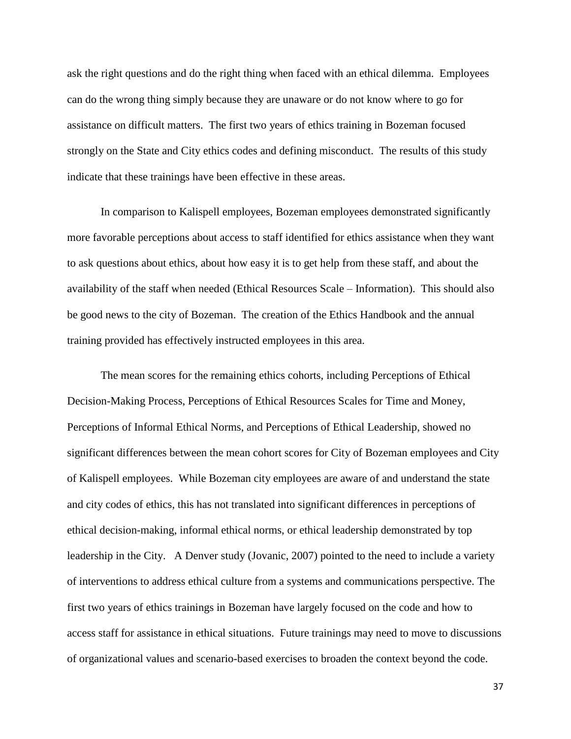ask the right questions and do the right thing when faced with an ethical dilemma. Employees can do the wrong thing simply because they are unaware or do not know where to go for assistance on difficult matters. The first two years of ethics training in Bozeman focused strongly on the State and City ethics codes and defining misconduct. The results of this study indicate that these trainings have been effective in these areas.

In comparison to Kalispell employees, Bozeman employees demonstrated significantly more favorable perceptions about access to staff identified for ethics assistance when they want to ask questions about ethics, about how easy it is to get help from these staff, and about the availability of the staff when needed (Ethical Resources Scale – Information). This should also be good news to the city of Bozeman. The creation of the Ethics Handbook and the annual training provided has effectively instructed employees in this area.

The mean scores for the remaining ethics cohorts, including Perceptions of Ethical Decision-Making Process, Perceptions of Ethical Resources Scales for Time and Money, Perceptions of Informal Ethical Norms, and Perceptions of Ethical Leadership, showed no significant differences between the mean cohort scores for City of Bozeman employees and City of Kalispell employees. While Bozeman city employees are aware of and understand the state and city codes of ethics, this has not translated into significant differences in perceptions of ethical decision-making, informal ethical norms, or ethical leadership demonstrated by top leadership in the City. A Denver study (Jovanic, 2007) pointed to the need to include a variety of interventions to address ethical culture from a systems and communications perspective. The first two years of ethics trainings in Bozeman have largely focused on the code and how to access staff for assistance in ethical situations. Future trainings may need to move to discussions of organizational values and scenario-based exercises to broaden the context beyond the code.

37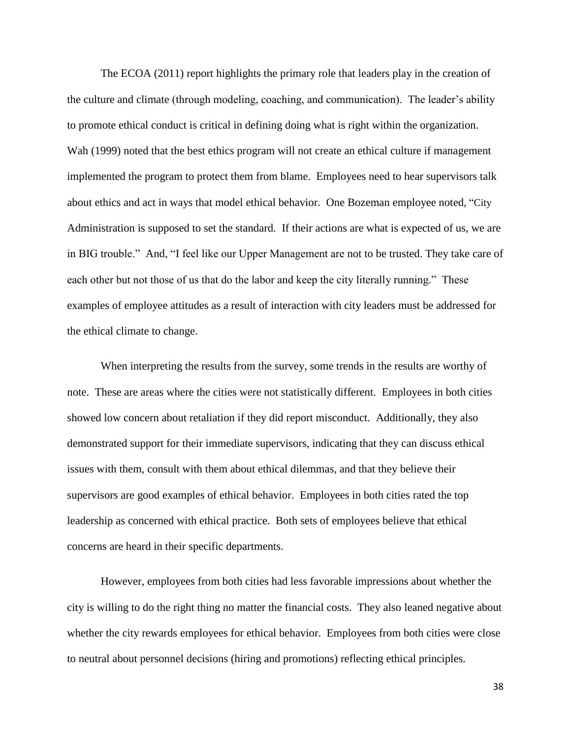The ECOA (2011) report highlights the primary role that leaders play in the creation of the culture and climate (through modeling, coaching, and communication). The leader's ability to promote ethical conduct is critical in defining doing what is right within the organization. Wah (1999) noted that the best ethics program will not create an ethical culture if management implemented the program to protect them from blame. Employees need to hear supervisors talk about ethics and act in ways that model ethical behavior. One Bozeman employee noted, "City Administration is supposed to set the standard. If their actions are what is expected of us, we are in BIG trouble." And, "I feel like our Upper Management are not to be trusted. They take care of each other but not those of us that do the labor and keep the city literally running." These examples of employee attitudes as a result of interaction with city leaders must be addressed for the ethical climate to change.

When interpreting the results from the survey, some trends in the results are worthy of note. These are areas where the cities were not statistically different. Employees in both cities showed low concern about retaliation if they did report misconduct. Additionally, they also demonstrated support for their immediate supervisors, indicating that they can discuss ethical issues with them, consult with them about ethical dilemmas, and that they believe their supervisors are good examples of ethical behavior. Employees in both cities rated the top leadership as concerned with ethical practice. Both sets of employees believe that ethical concerns are heard in their specific departments.

However, employees from both cities had less favorable impressions about whether the city is willing to do the right thing no matter the financial costs. They also leaned negative about whether the city rewards employees for ethical behavior. Employees from both cities were close to neutral about personnel decisions (hiring and promotions) reflecting ethical principles.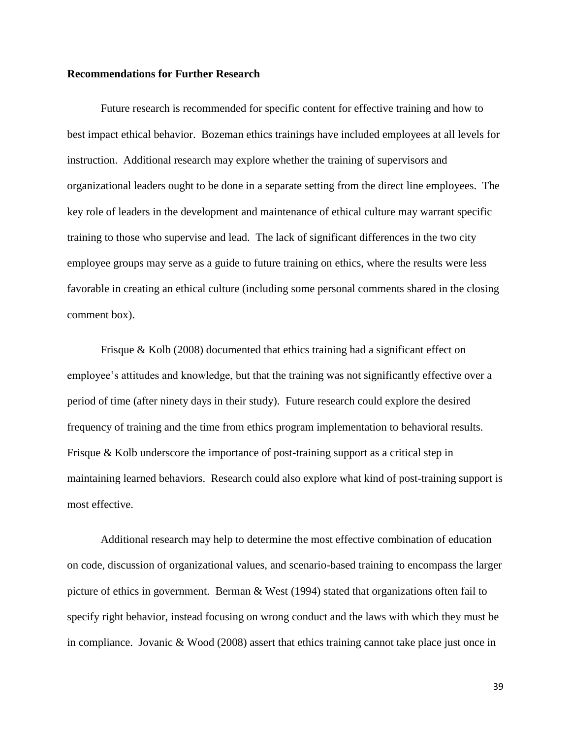#### **Recommendations for Further Research**

Future research is recommended for specific content for effective training and how to best impact ethical behavior. Bozeman ethics trainings have included employees at all levels for instruction. Additional research may explore whether the training of supervisors and organizational leaders ought to be done in a separate setting from the direct line employees. The key role of leaders in the development and maintenance of ethical culture may warrant specific training to those who supervise and lead. The lack of significant differences in the two city employee groups may serve as a guide to future training on ethics, where the results were less favorable in creating an ethical culture (including some personal comments shared in the closing comment box).

Frisque  $\&$  Kolb (2008) documented that ethics training had a significant effect on employee's attitudes and knowledge, but that the training was not significantly effective over a period of time (after ninety days in their study). Future research could explore the desired frequency of training and the time from ethics program implementation to behavioral results. Frisque & Kolb underscore the importance of post-training support as a critical step in maintaining learned behaviors. Research could also explore what kind of post-training support is most effective.

Additional research may help to determine the most effective combination of education on code, discussion of organizational values, and scenario-based training to encompass the larger picture of ethics in government. Berman & West (1994) stated that organizations often fail to specify right behavior, instead focusing on wrong conduct and the laws with which they must be in compliance. Jovanic & Wood (2008) assert that ethics training cannot take place just once in

39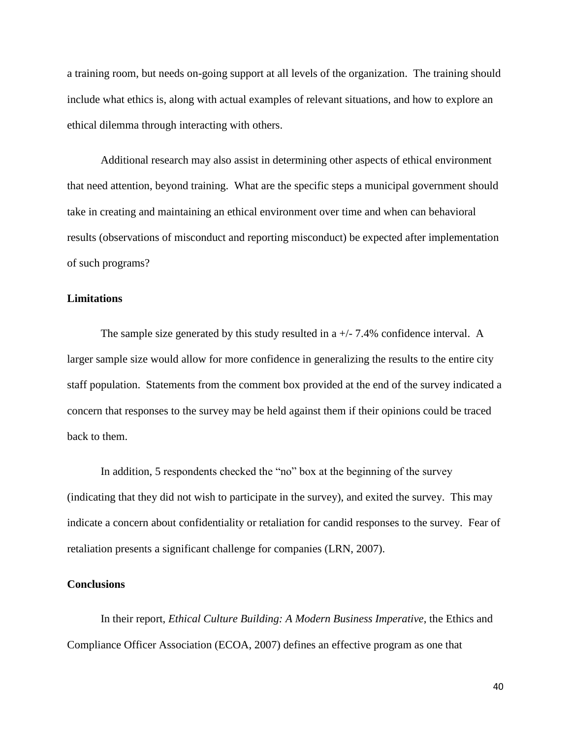a training room, but needs on-going support at all levels of the organization. The training should include what ethics is, along with actual examples of relevant situations, and how to explore an ethical dilemma through interacting with others.

Additional research may also assist in determining other aspects of ethical environment that need attention, beyond training. What are the specific steps a municipal government should take in creating and maintaining an ethical environment over time and when can behavioral results (observations of misconduct and reporting misconduct) be expected after implementation of such programs?

## **Limitations**

The sample size generated by this study resulted in a  $+/-7.4\%$  confidence interval. A larger sample size would allow for more confidence in generalizing the results to the entire city staff population. Statements from the comment box provided at the end of the survey indicated a concern that responses to the survey may be held against them if their opinions could be traced back to them.

In addition, 5 respondents checked the "no" box at the beginning of the survey (indicating that they did not wish to participate in the survey), and exited the survey. This may indicate a concern about confidentiality or retaliation for candid responses to the survey. Fear of retaliation presents a significant challenge for companies (LRN, 2007).

#### **Conclusions**

In their report, *Ethical Culture Building: A Modern Business Imperative*, the Ethics and Compliance Officer Association (ECOA, 2007) defines an effective program as one that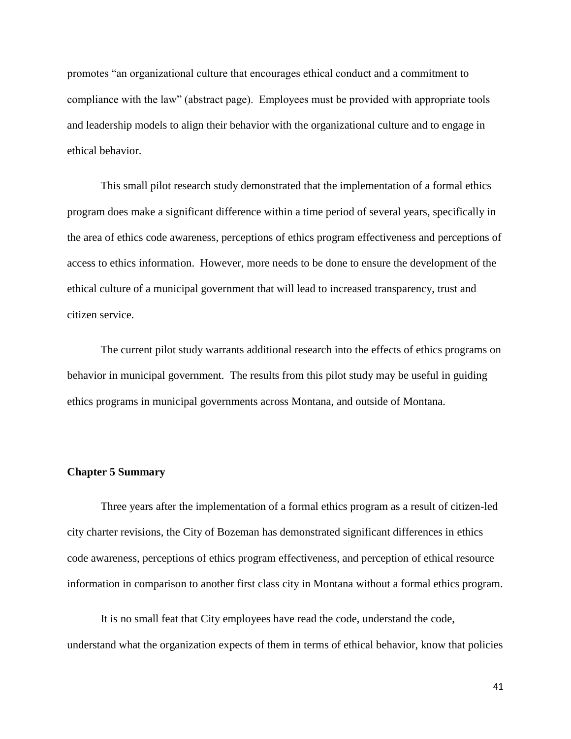promotes "an organizational culture that encourages ethical conduct and a commitment to compliance with the law" (abstract page). Employees must be provided with appropriate tools and leadership models to align their behavior with the organizational culture and to engage in ethical behavior.

This small pilot research study demonstrated that the implementation of a formal ethics program does make a significant difference within a time period of several years, specifically in the area of ethics code awareness, perceptions of ethics program effectiveness and perceptions of access to ethics information. However, more needs to be done to ensure the development of the ethical culture of a municipal government that will lead to increased transparency, trust and citizen service.

The current pilot study warrants additional research into the effects of ethics programs on behavior in municipal government. The results from this pilot study may be useful in guiding ethics programs in municipal governments across Montana, and outside of Montana.

# **Chapter 5 Summary**

Three years after the implementation of a formal ethics program as a result of citizen-led city charter revisions, the City of Bozeman has demonstrated significant differences in ethics code awareness, perceptions of ethics program effectiveness, and perception of ethical resource information in comparison to another first class city in Montana without a formal ethics program.

It is no small feat that City employees have read the code, understand the code, understand what the organization expects of them in terms of ethical behavior, know that policies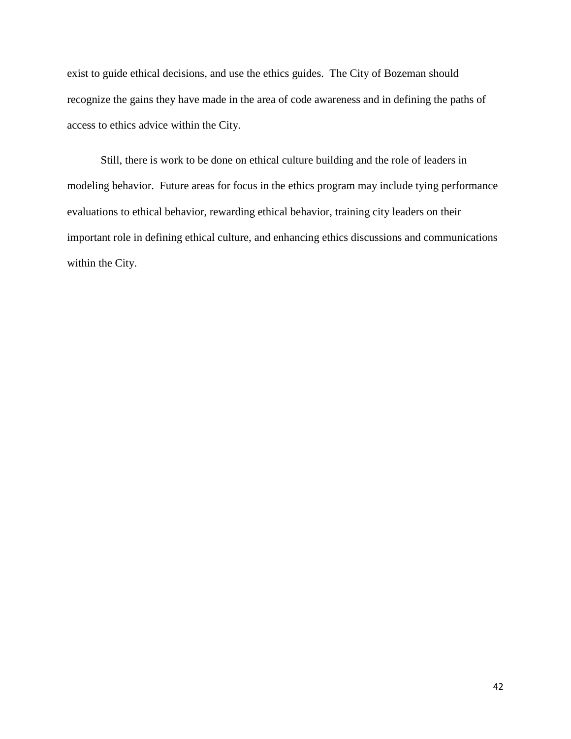exist to guide ethical decisions, and use the ethics guides. The City of Bozeman should recognize the gains they have made in the area of code awareness and in defining the paths of access to ethics advice within the City.

Still, there is work to be done on ethical culture building and the role of leaders in modeling behavior. Future areas for focus in the ethics program may include tying performance evaluations to ethical behavior, rewarding ethical behavior, training city leaders on their important role in defining ethical culture, and enhancing ethics discussions and communications within the City.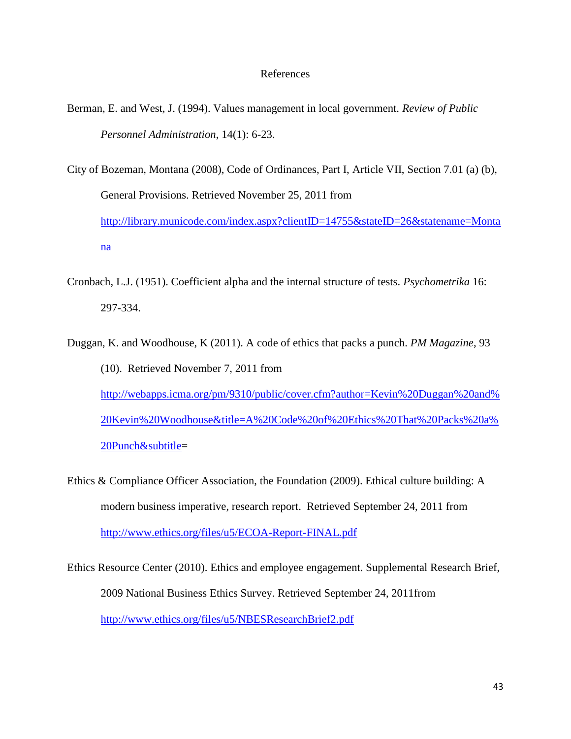#### References

Berman, E. and West, J. (1994). Values management in local government. *Review of Public Personnel Administration*, 14(1): 6-23.

City of Bozeman, Montana (2008), [Code of Ordinances,](http://library.municode.com/HTML/14755/book.html) [Part](http://library.municode.com/HTML/14755/level1/PTICH.html) I, Article VII, Section 7.01 (a) (b), General Provisions. Retrieved November 25, 2011 from [http://library.municode.com/index.aspx?clientID=14755&stateID=26&statename=Monta](http://library.municode.com/index.aspx?clientID=14755&stateID=26&statename=Montana) [na](http://library.municode.com/index.aspx?clientID=14755&stateID=26&statename=Montana)

- Cronbach, L.J. (1951). Coefficient alpha and the internal structure of tests. *Psychometrika* 16: 297-334.
- Duggan, K. and Woodhouse, K (2011). A code of ethics that packs a punch. *PM Magazine*, 93 (10). Retrieved November 7, 2011 from [http://webapps.icma.org/pm/9310/public/cover.cfm?author=Kevin%20Duggan%20and%](http://webapps.icma.org/pm/9310/public/cover.cfm?author=Kevin%20Duggan%20and%20Kevin%20Woodhouse&title=A%20Code%20of%20Ethics%20That%20Packs%20a%20Punch&subtitle) [20Kevin%20Woodhouse&title=A%20Code%20of%20Ethics%20That%20Packs%20a%](http://webapps.icma.org/pm/9310/public/cover.cfm?author=Kevin%20Duggan%20and%20Kevin%20Woodhouse&title=A%20Code%20of%20Ethics%20That%20Packs%20a%20Punch&subtitle) [20Punch&subtitle=](http://webapps.icma.org/pm/9310/public/cover.cfm?author=Kevin%20Duggan%20and%20Kevin%20Woodhouse&title=A%20Code%20of%20Ethics%20That%20Packs%20a%20Punch&subtitle)
- Ethics & Compliance Officer Association, the Foundation (2009). Ethical culture building: A modern business imperative, research report. Retrieved September 24, 2011 from <http://www.ethics.org/files/u5/ECOA-Report-FINAL.pdf>

Ethics Resource Center (2010). Ethics and employee engagement. Supplemental Research Brief, 2009 National Business Ethics Survey. Retrieved September 24, 2011from <http://www.ethics.org/files/u5/NBESResearchBrief2.pdf>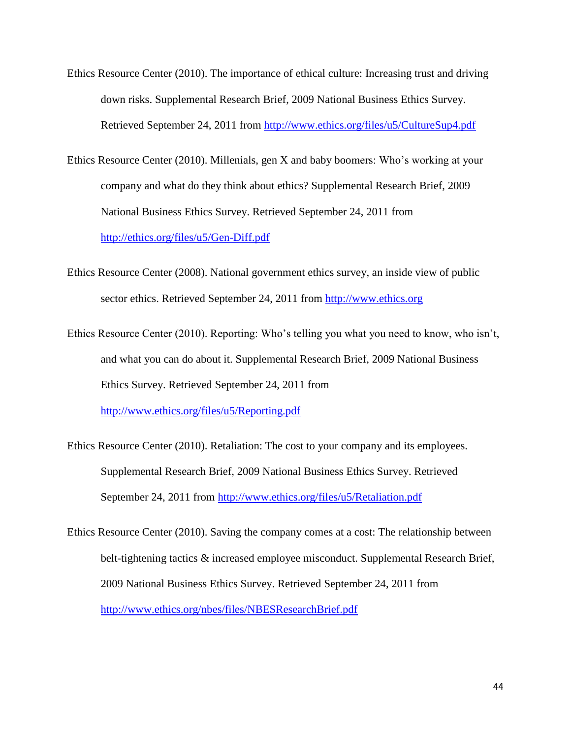- Ethics Resource Center (2010). The importance of ethical culture: Increasing trust and driving down risks. Supplemental Research Brief, 2009 National Business Ethics Survey. Retrieved September 24, 2011 from<http://www.ethics.org/files/u5/CultureSup4.pdf>
- Ethics Resource Center (2010). Millenials, gen X and baby boomers: Who's working at your company and what do they think about ethics? Supplemental Research Brief, 2009 National Business Ethics Survey. Retrieved September 24, 2011 from <http://ethics.org/files/u5/Gen-Diff.pdf>
- Ethics Resource Center (2008). National government ethics survey, an inside view of public sector ethics. Retrieved September 24, 2011 from [http://www.ethics.org](http://www.ethics.org/)
- Ethics Resource Center (2010). Reporting: Who's telling you what you need to know, who isn't, and what you can do about it. Supplemental Research Brief, 2009 National Business Ethics Survey. Retrieved September 24, 2011 from <http://www.ethics.org/files/u5/Reporting.pdf>
- Ethics Resource Center (2010). Retaliation: The cost to your company and its employees. Supplemental Research Brief, 2009 National Business Ethics Survey. Retrieved September 24, 2011 from<http://www.ethics.org/files/u5/Retaliation.pdf>
- Ethics Resource Center (2010). Saving the company comes at a cost: The relationship between belt-tightening tactics & increased employee misconduct. Supplemental Research Brief, 2009 National Business Ethics Survey. Retrieved September 24, 2011 from <http://www.ethics.org/nbes/files/NBESResearchBrief.pdf>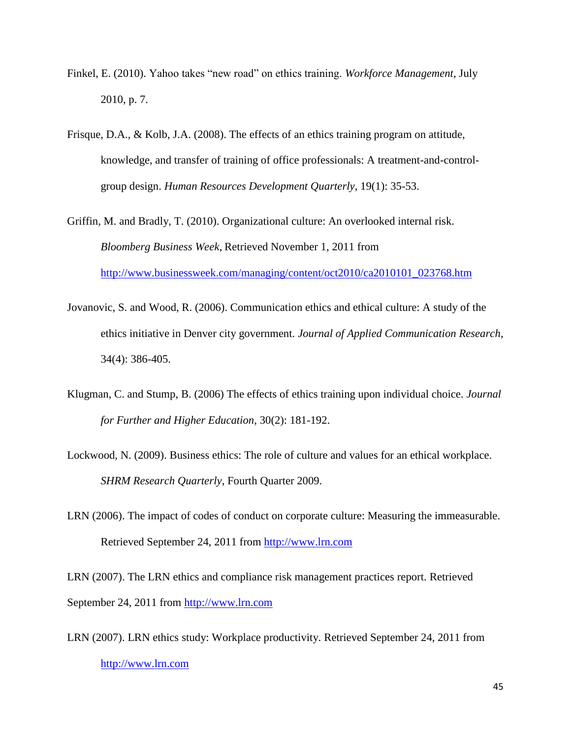- Finkel, E. (2010). Yahoo takes "new road" on ethics training. *Workforce Management*, July 2010, p. 7.
- Frisque, D.A., & Kolb, J.A. (2008). The effects of an ethics training program on attitude, knowledge, and transfer of training of office professionals: A treatment-and-controlgroup design. *Human Resources Development Quarterly*, 19(1): 35-53.
- Griffin, M. and Bradly, T. (2010). Organizational culture: An overlooked internal risk. *Bloomberg Business Week*, Retrieved November 1, 2011 from [http://www.businessweek.com/managing/content/oct2010/ca2010101\\_023768.htm](http://www.businessweek.com/managing/content/oct2010/ca2010101_023768.htm)
- Jovanovic, S. and Wood, R. (2006). Communication ethics and ethical culture: A study of the ethics initiative in Denver city government. *Journal of Applied Communication Research*, 34(4): 386-405.
- Klugman, C. and Stump, B. (2006) The effects of ethics training upon individual choice. *Journal for Further and Higher Education*, 30(2): 181-192.
- Lockwood, N. (2009). Business ethics: The role of culture and values for an ethical workplace. *SHRM Research Quarterly*, Fourth Quarter 2009.
- LRN (2006). The impact of codes of conduct on corporate culture: Measuring the immeasurable. Retrieved September 24, 2011 from [http://www.lrn.com](http://www.lrn.com/)

LRN (2007). The LRN ethics and compliance risk management practices report. Retrieved September 24, 2011 from [http://www.lrn.com](http://www.lrn.com/)

LRN (2007). LRN ethics study: Workplace productivity. Retrieved September 24, 2011 from [http://www.lrn.com](http://www.lrn.com/)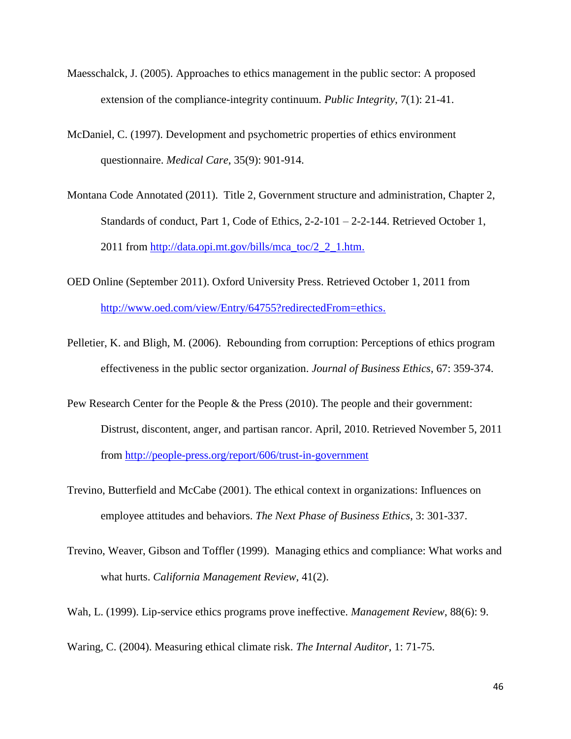- Maesschalck, J. (2005). Approaches to ethics management in the public sector: A proposed extension of the compliance-integrity continuum. *Public Integrity*, 7(1): 21-41.
- McDaniel, C. (1997). Development and psychometric properties of ethics environment questionnaire. *Medical Care*, 35(9): 901-914.
- Montana Code Annotated (2011). Title 2, Government structure and administration, Chapter 2, Standards of conduct, Part 1, Code of Ethics, 2-2-101 – 2-2-144. Retrieved October 1, 2011 from [http://data.opi.mt.gov/bills/mca\\_toc/2\\_2\\_1.htm.](http://data.opi.mt.gov/bills/mca_toc/2_2_1.htm)
- OED Online (September 2011). Oxford University Press. Retrieved October 1, 2011 from [http://www.oed.com/view/Entry/64755?redirectedFrom=ethics.](http://www.oed.com/view/Entry/64755?redirectedFrom=ethics)
- Pelletier, K. and Bligh, M. (2006). Rebounding from corruption: Perceptions of ethics program effectiveness in the public sector organization. *Journal of Business Ethics*, 67: 359-374.
- Pew Research Center for the People & the Press (2010). The people and their government: Distrust, discontent, anger, and partisan rancor. April, 2010. Retrieved November 5, 2011 from <http://people-press.org/report/606/trust-in-government>
- Trevino, Butterfield and McCabe (2001). The ethical context in organizations: Influences on employee attitudes and behaviors. *The Next Phase of Business Ethics*, 3: 301-337.
- Trevino, Weaver, Gibson and Toffler (1999). Managing ethics and compliance: What works and what hurts. *California Management Review*, 41(2).

Wah, L. (1999). Lip-service ethics programs prove ineffective. *Management Review*, 88(6): 9.

Waring, C. (2004). Measuring ethical climate risk. *The Internal Auditor*, 1: 71-75.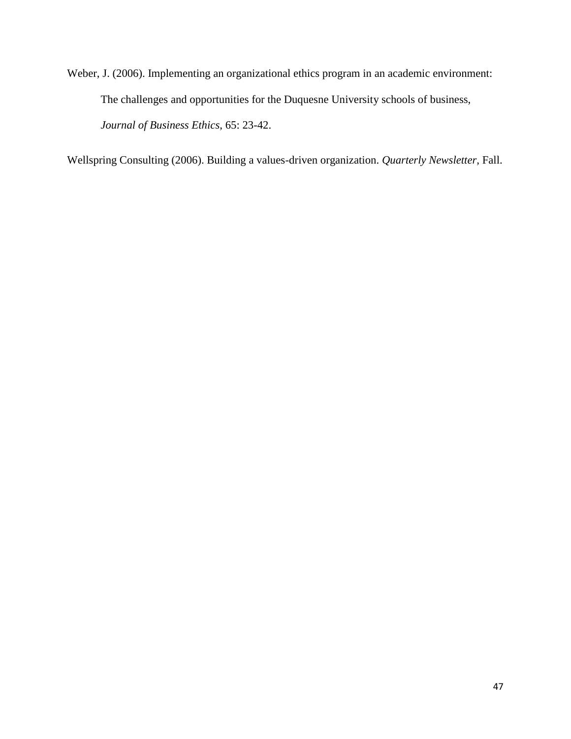Weber, J. (2006). Implementing an organizational ethics program in an academic environment: The challenges and opportunities for the Duquesne University schools of business, *Journal of Business Ethics*, 65: 23-42.

Wellspring Consulting (2006). Building a values-driven organization. *Quarterly Newsletter,* Fall.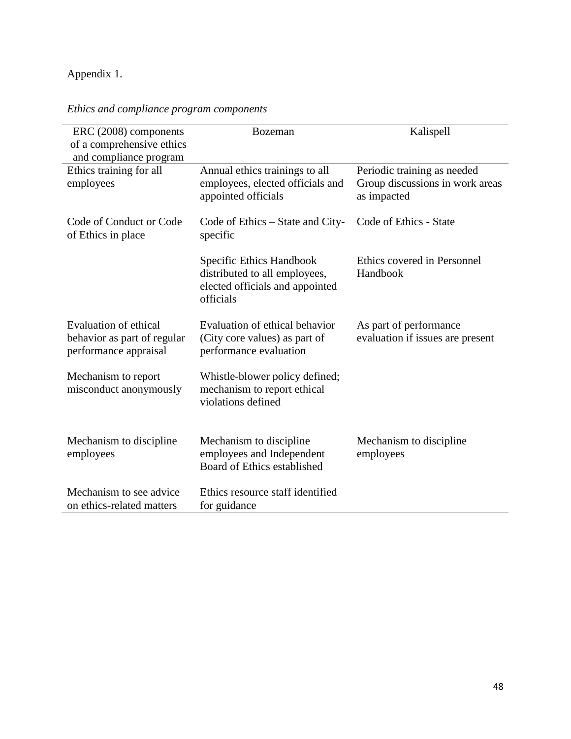# Appendix 1.

*Ethics and compliance program components*

| ERC (2008) components<br>of a comprehensive ethics<br>and compliance program  | <b>Bozeman</b>                                                                                            | Kalispell                                                                     |
|-------------------------------------------------------------------------------|-----------------------------------------------------------------------------------------------------------|-------------------------------------------------------------------------------|
| Ethics training for all<br>employees                                          | Annual ethics trainings to all<br>employees, elected officials and<br>appointed officials                 | Periodic training as needed<br>Group discussions in work areas<br>as impacted |
| Code of Conduct or Code<br>of Ethics in place                                 | Code of Ethics – State and City-<br>specific                                                              | Code of Ethics - State                                                        |
|                                                                               | Specific Ethics Handbook<br>distributed to all employees,<br>elected officials and appointed<br>officials | Ethics covered in Personnel<br>Handbook                                       |
| Evaluation of ethical<br>behavior as part of regular<br>performance appraisal | Evaluation of ethical behavior<br>(City core values) as part of<br>performance evaluation                 | As part of performance<br>evaluation if issues are present                    |
| Mechanism to report<br>misconduct anonymously                                 | Whistle-blower policy defined;<br>mechanism to report ethical<br>violations defined                       |                                                                               |
| Mechanism to discipline<br>employees                                          | Mechanism to discipline<br>employees and Independent<br>Board of Ethics established                       | Mechanism to discipline<br>employees                                          |
| Mechanism to see advice<br>on ethics-related matters                          | Ethics resource staff identified<br>for guidance                                                          |                                                                               |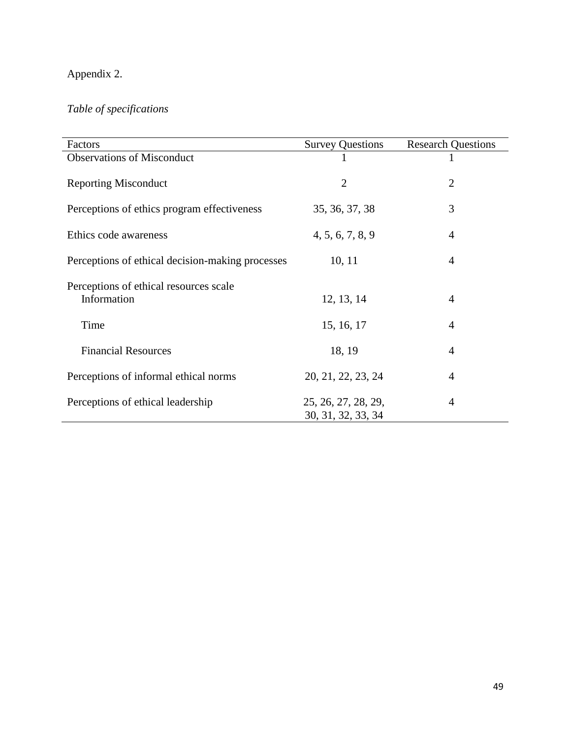# Appendix 2.

# *Table of specifications*

| Factors                                          | <b>Survey Questions</b> | <b>Research Questions</b> |
|--------------------------------------------------|-------------------------|---------------------------|
| <b>Observations of Misconduct</b>                | 1                       |                           |
| <b>Reporting Misconduct</b>                      | $\overline{2}$          | $\overline{2}$            |
| Perceptions of ethics program effectiveness      | 35, 36, 37, 38          | 3                         |
| Ethics code awareness                            | 4, 5, 6, 7, 8, 9        | 4                         |
| Perceptions of ethical decision-making processes | 10, 11                  | $\overline{4}$            |
| Perceptions of ethical resources scale           |                         |                           |
| Information                                      | 12, 13, 14              | 4                         |
| Time                                             | 15, 16, 17              | $\overline{4}$            |
| <b>Financial Resources</b>                       | 18, 19                  | 4                         |
| Perceptions of informal ethical norms            | 20, 21, 22, 23, 24      | $\overline{4}$            |
| Perceptions of ethical leadership                | 25, 26, 27, 28, 29,     | 4                         |
|                                                  | 30, 31, 32, 33, 34      |                           |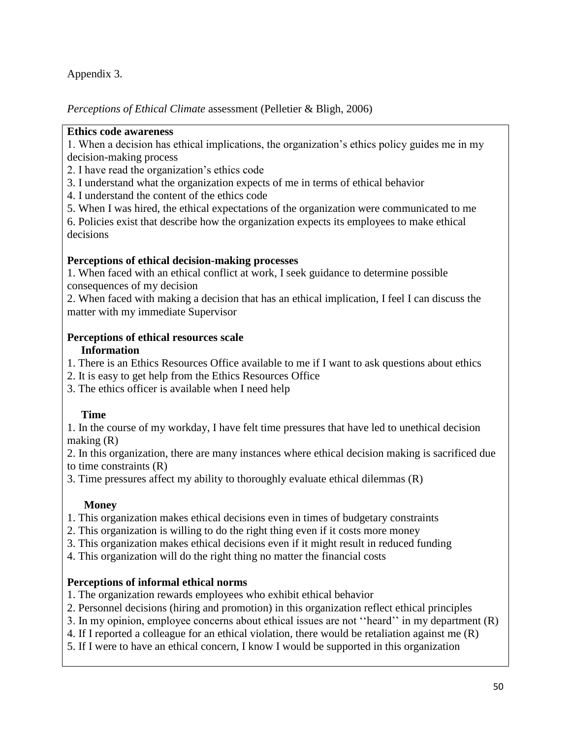Appendix 3.

*Perceptions of Ethical Climate* assessment (Pelletier & Bligh, 2006)

# **Ethics code awareness**

1. When a decision has ethical implications, the organization's ethics policy guides me in my decision-making process

- 2. I have read the organization's ethics code
- 3. I understand what the organization expects of me in terms of ethical behavior
- 4. I understand the content of the ethics code
- 5. When I was hired, the ethical expectations of the organization were communicated to me

6. Policies exist that describe how the organization expects its employees to make ethical decisions

# **Perceptions of ethical decision-making processes**

1. When faced with an ethical conflict at work, I seek guidance to determine possible consequences of my decision

2. When faced with making a decision that has an ethical implication, I feel I can discuss the matter with my immediate Supervisor

# **Perceptions of ethical resources scale**

# **Information**

- 1. There is an Ethics Resources Office available to me if I want to ask questions about ethics
- 2. It is easy to get help from the Ethics Resources Office
- 3. The ethics officer is available when I need help

# **Time**

1. In the course of my workday, I have felt time pressures that have led to unethical decision making (R)

2. In this organization, there are many instances where ethical decision making is sacrificed due to time constraints (R)

3. Time pressures affect my ability to thoroughly evaluate ethical dilemmas (R)

# **Money**

- 1. This organization makes ethical decisions even in times of budgetary constraints
- 2. This organization is willing to do the right thing even if it costs more money
- 3. This organization makes ethical decisions even if it might result in reduced funding
- 4. This organization will do the right thing no matter the financial costs

# **Perceptions of informal ethical norms**

- 1. The organization rewards employees who exhibit ethical behavior
- 2. Personnel decisions (hiring and promotion) in this organization reflect ethical principles
- 3. In my opinion, employee concerns about ethical issues are not ''heard'' in my department (R)
- 4. If I reported a colleague for an ethical violation, there would be retaliation against me (R)
- 5. If I were to have an ethical concern, I know I would be supported in this organization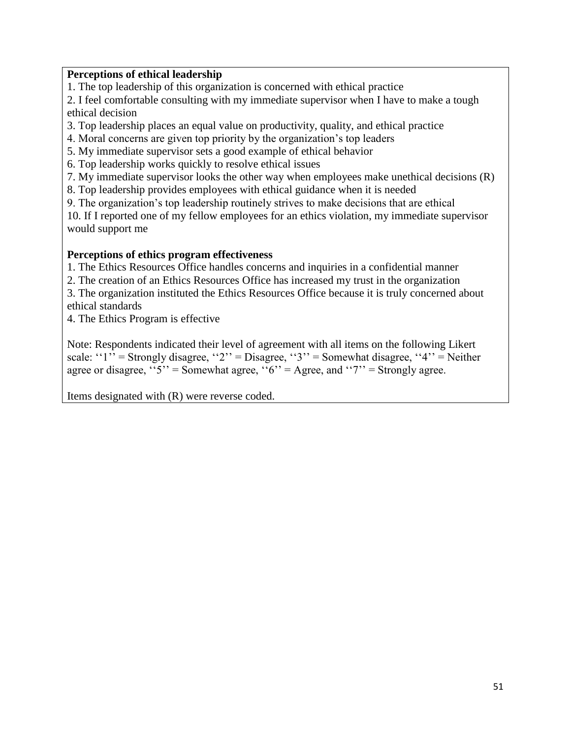# **Perceptions of ethical leadership**

1. The top leadership of this organization is concerned with ethical practice

2. I feel comfortable consulting with my immediate supervisor when I have to make a tough ethical decision

3. Top leadership places an equal value on productivity, quality, and ethical practice

4. Moral concerns are given top priority by the organization's top leaders

5. My immediate supervisor sets a good example of ethical behavior

6. Top leadership works quickly to resolve ethical issues

7. My immediate supervisor looks the other way when employees make unethical decisions (R)

8. Top leadership provides employees with ethical guidance when it is needed

9. The organization's top leadership routinely strives to make decisions that are ethical

10. If I reported one of my fellow employees for an ethics violation, my immediate supervisor would support me

# **Perceptions of ethics program effectiveness**

1. The Ethics Resources Office handles concerns and inquiries in a confidential manner

2. The creation of an Ethics Resources Office has increased my trust in the organization

3. The organization instituted the Ethics Resources Office because it is truly concerned about ethical standards

4. The Ethics Program is effective

Note: Respondents indicated their level of agreement with all items on the following Likert scale: " $1$ " = Strongly disagree, " $2$ " = Disagree, " $3$ " = Somewhat disagree, " $4$ " = Neither agree or disagree,  $5'$  = Somewhat agree,  $(6)'$  = Agree, and  $(7)'$  = Strongly agree.

Items designated with (R) were reverse coded.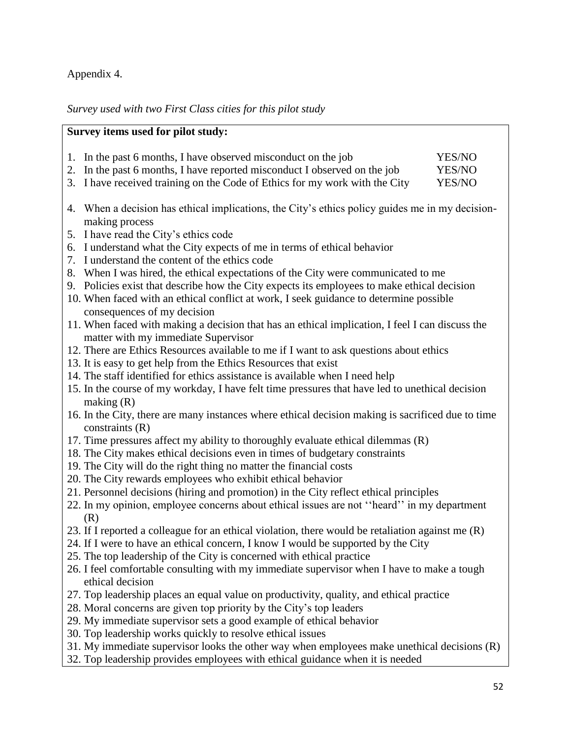# Appendix 4.

*Survey used with two First Class cities for this pilot study*

|     | Survey items used for pilot study:                                                                                                                                                                                               |                            |
|-----|----------------------------------------------------------------------------------------------------------------------------------------------------------------------------------------------------------------------------------|----------------------------|
|     | 1. In the past 6 months, I have observed misconduct on the job<br>2. In the past 6 months, I have reported misconduct I observed on the job<br>3. I have received training on the Code of Ethics for my work with the City       | YES/NO<br>YES/NO<br>YES/NO |
|     | 4. When a decision has ethical implications, the City's ethics policy guides me in my decision-<br>making process                                                                                                                |                            |
|     | 5. I have read the City's ethics code<br>6. I understand what the City expects of me in terms of ethical behavior<br>7. I understand the content of the ethics code                                                              |                            |
|     | 8. When I was hired, the ethical expectations of the City were communicated to me<br>9. Policies exist that describe how the City expects its employees to make ethical decision                                                 |                            |
|     | 10. When faced with an ethical conflict at work, I seek guidance to determine possible<br>consequences of my decision                                                                                                            |                            |
|     | 11. When faced with making a decision that has an ethical implication, I feel I can discuss the<br>matter with my immediate Supervisor<br>12. There are Ethics Resources available to me if I want to ask questions about ethics |                            |
|     | 13. It is easy to get help from the Ethics Resources that exist<br>14. The staff identified for ethics assistance is available when I need help                                                                                  |                            |
|     | 15. In the course of my workday, I have felt time pressures that have led to unethical decision<br>making $(R)$                                                                                                                  |                            |
|     | 16. In the City, there are many instances where ethical decision making is sacrificed due to time<br>constraints $(R)$<br>17. Time pressures affect my ability to thoroughly evaluate ethical dilemmas (R)                       |                            |
|     | 18. The City makes ethical decisions even in times of budgetary constraints<br>19. The City will do the right thing no matter the financial costs                                                                                |                            |
|     | 20. The City rewards employees who exhibit ethical behavior<br>21. Personnel decisions (hiring and promotion) in the City reflect ethical principles                                                                             |                            |
| (R) | 22. In my opinion, employee concerns about ethical issues are not "heard" in my department<br>23. If I reported a colleague for an ethical violation, there would be retaliation against me (R)                                  |                            |
|     | 24. If I were to have an ethical concern, I know I would be supported by the City<br>25. The top leadership of the City is concerned with ethical practice                                                                       |                            |
|     | 26. I feel comfortable consulting with my immediate supervisor when I have to make a tough<br>ethical decision<br>27. Top leadership places an equal value on productivity, quality, and ethical practice                        |                            |
|     | 28. Moral concerns are given top priority by the City's top leaders<br>29. My immediate supervisor sets a good example of ethical behavior                                                                                       |                            |
|     | 30. Top leadership works quickly to resolve ethical issues<br>21 M. immodiate que en igado de de cheguese unhan que la veza malzo una higal d                                                                                    |                            |

- 31. My immediate supervisor looks the other way when employees make unethical decisions (R)
- 32. Top leadership provides employees with ethical guidance when it is needed